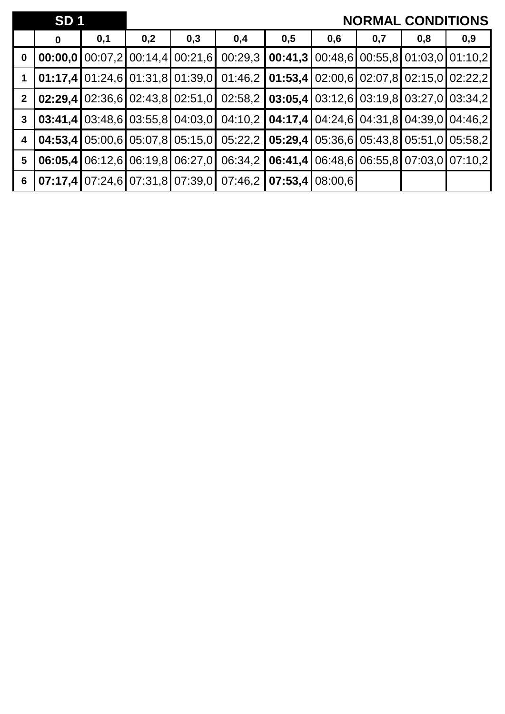|                 | SD <sub>1</sub> |     |                                 |     |                                                                                                   |                                                             |     |     | <b>NORMAL CONDITIONS</b> |     |
|-----------------|-----------------|-----|---------------------------------|-----|---------------------------------------------------------------------------------------------------|-------------------------------------------------------------|-----|-----|--------------------------|-----|
|                 | 0               | 0,1 | 0,2                             | 0,3 | 0,4                                                                                               | 0,5                                                         | 0,6 | 0,7 | 0,8                      | 0,9 |
| $\mathbf 0$     |                 |     | 00:00,0100:07,2100:14,4100:21,6 |     |                                                                                                   | $00:29,3$   00:41,3   00:48,6   00:55,8   01:03,0   01:10,2 |     |     |                          |     |
|                 |                 |     |                                 |     | <b>01:17,4</b> 01:24,6 01:31,8 01:39,0 01:46,2 <b>01:53,4</b> 02:00,6 02:07,8 02:15,0 02:22,2     |                                                             |     |     |                          |     |
| 2 <sup>1</sup>  |                 |     |                                 |     | <b>02:29,4 02:36,6 02:43,8 02:51,0 02:58,2 03:05,4 03:12,6 03:19,8 03:27,0 03:34,2</b>            |                                                             |     |     |                          |     |
| $\mathbf{3}$    |                 |     |                                 |     | <b>03:41,4</b> 03:48,6 03:55,8 04:03,0 04:10,2 <b>04:17,4 0</b> 4:24,6 04:31,8 04:39,0 04:46,2    |                                                             |     |     |                          |     |
| 4               |                 |     |                                 |     | <b>04:53,4 05:00,6 05:07,8 05:15,0 05:22,2 05:29,4 05:36,6 05:43,8 05:51,0 05:58,2</b>            |                                                             |     |     |                          |     |
| $5\phantom{.0}$ |                 |     |                                 |     | 06:05,4   06:12,6   06:19,8   06:27,0   06:34,2   06:41,4   06:48,6   06:55,8   07:03,0   07:10,2 |                                                             |     |     |                          |     |
| $6\phantom{1}$  |                 |     |                                 |     | <b>07:17,4 07:24,6 07:31,8 07:39,0 07:46,2 07:53,4 08:00,6</b>                                    |                                                             |     |     |                          |     |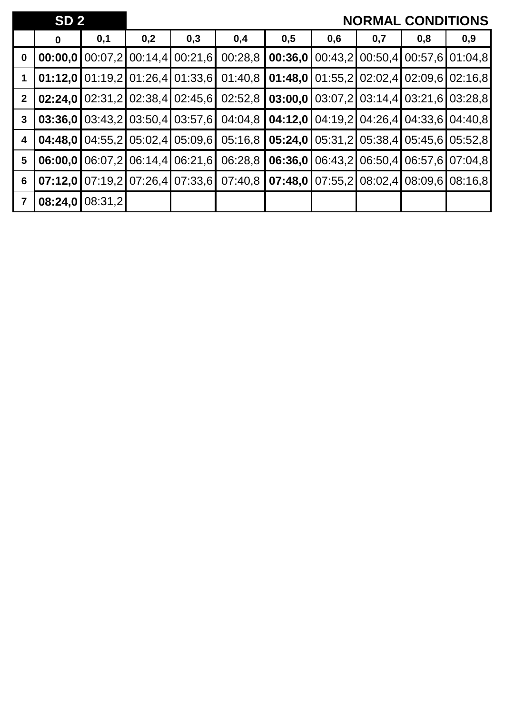|                | SD <sub>2</sub> |         |                 |                                          |         |         |                                                                                  |     | <b>NORMAL CONDITIONS</b>          |     |
|----------------|-----------------|---------|-----------------|------------------------------------------|---------|---------|----------------------------------------------------------------------------------|-----|-----------------------------------|-----|
|                | $\mathbf 0$     | 0,1     | 0,2             | 0,3                                      | 0,4     | 0,5     | 0,6                                                                              | 0,7 | 0,8                               | 0,9 |
| $\mathbf 0$    | 00:00,0         |         |                 | $[00:07,2]$ 00:14,4 00:21,6              | 00:28,8 | 00:36,0 |                                                                                  |     | 00:43,2 00:50,4 00:57,6 01:04,8   |     |
|                |                 |         |                 | $01:12,0$   01:19,2   01:26,4   01:33,6  | 01:40,8 |         | <b>01:48,0</b> $\left[ 01:55,2 \right]$ 02:02,4 $\left[ 02:09,6 \right]$ 02:16,8 |     |                                   |     |
| $\mathbf{2}$   |                 |         |                 | <b>02:24,0 02:31,2 02:38,4 02:45,6  </b> | 02:52,8 |         | <b>03:00,0</b> $\left[ 03:07,2 \right]$ 03:14,4 03:21,6 03:28,8                  |     |                                   |     |
| $\mathbf{3}$   | 03:36,0         |         |                 | 03:43,2103:50,4103:57,61                 | 04:04,8 |         | <b>04:12,0</b> $\left[ 04:19,2 \right]$ 04:26,4 $\left[ 04:33,6 \right]$ 04:40,8 |     |                                   |     |
| 4              | 04:48.0         |         |                 | 04:55,2105:02,4105:09,6                  | 05:16,8 | 05:24,0 |                                                                                  |     | 05:31,2 05:38,4 05:45,6 05:52,8   |     |
| $5\phantom{1}$ | 06:00.0         |         | 06:07,2 06:14,4 | 06:21,6                                  | 06:28,8 | 06:36,0 |                                                                                  |     | 06:43,2 06:50,4 06:57,6 07:04,8   |     |
| 6              | 07:12.0         |         |                 | $07:19,2$ 07:26,4 07:33,6                | 07:40,8 | 07:48,0 |                                                                                  |     | $07:55,2$ 08:02,4 08:09,6 08:16,8 |     |
| $\overline{7}$ | 08:24,0         | 08:31,2 |                 |                                          |         |         |                                                                                  |     |                                   |     |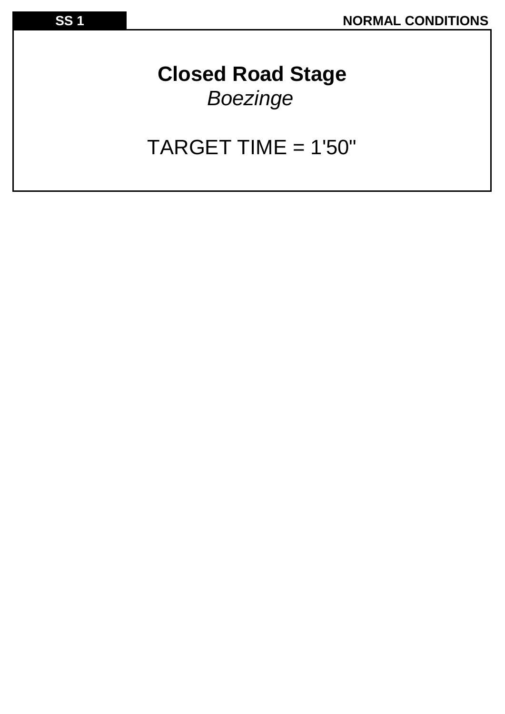## **Closed Road Stage** *Boezinge*

## TARGET TIME = 1'50"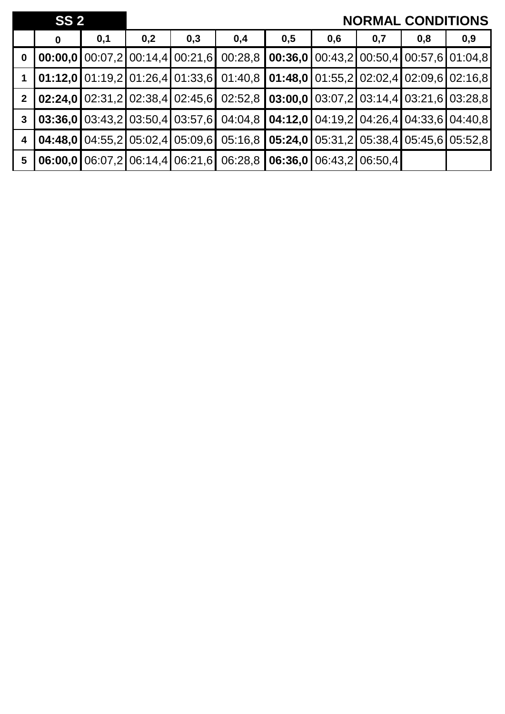|                         | SS <sub>2</sub> |     |     |                                              |                                                                                                                                                       |                                                 |     |                         | <b>NORMAL CONDITIONS</b>                                                               |     |
|-------------------------|-----------------|-----|-----|----------------------------------------------|-------------------------------------------------------------------------------------------------------------------------------------------------------|-------------------------------------------------|-----|-------------------------|----------------------------------------------------------------------------------------|-----|
|                         | $\mathbf 0$     | 0,1 | 0,2 | 0,3                                          | 0,4                                                                                                                                                   | 0,5                                             | 0,6 | 0,7                     | 0,8                                                                                    | 0,9 |
| $\mathbf 0$             |                 |     |     | 00:00,0100:07,2100:14,4100:21,6              | 00:28.8                                                                                                                                               |                                                 |     |                         | <b>00:36,0</b> $\boxed{00:43,2}$ $\boxed{00:50,4}$ $\boxed{00:57,6}$ $\boxed{01:04,8}$ |     |
|                         |                 |     |     |                                              | $\vert 01:12,0 \vert 01:19,2 \vert 01:26,4 \vert 01:33,6 \vert 01:40,8 \vert 01:48,0 \vert 01:55,2 \vert 02:02,4 \vert 02:09,6 \vert 02:16,8$         |                                                 |     |                         |                                                                                        |     |
| $\overline{2}$          |                 |     |     |                                              | <b>02:24,0</b> 02:31,2 02:38,4 02:45,6 02:52,8 <b>03:00,0</b> 03:07,2 03:14,4 03:21,6 03:28,8                                                         |                                                 |     |                         |                                                                                        |     |
| $\mathbf{3}$            |                 |     |     |                                              | $\mid$ 03:36,0 $\mid$ 03:43,2 $\mid$ 03:50,4 $\mid$ 03:57,6 $\mid$ 04:04,8 $\mid$ 04:12,0 $\mid$ 04:19,2 $\mid$ 04:26,4 $\mid$ 04:33,6 $\mid$ 04:40,8 |                                                 |     |                         |                                                                                        |     |
| $\overline{\mathbf{4}}$ |                 |     |     | <b>04:48,0</b>   04:55,2   05:02,4   05:09,6 |                                                                                                                                                       | 05:16,8 05:24,0 05:31,2 05:38,4 05:45,6 05:52,8 |     |                         |                                                                                        |     |
| 5                       |                 |     |     | 06:00,0106:07,2106:14,4106:21,6              | 06:28,8                                                                                                                                               |                                                 |     | 06:36,0 06:43,2 06:50.4 |                                                                                        |     |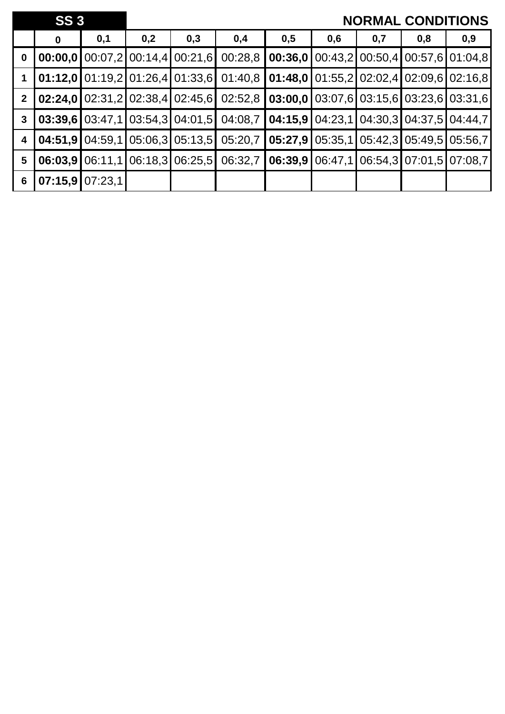|                         | <b>SS3</b>  |                   |     |                                         |                                                                                               |                                                             |     |     | <b>NORMAL CONDITIONS</b>                               |     |
|-------------------------|-------------|-------------------|-----|-----------------------------------------|-----------------------------------------------------------------------------------------------|-------------------------------------------------------------|-----|-----|--------------------------------------------------------|-----|
|                         | $\mathbf 0$ | 0,1               | 0,2 | 0,3                                     | 0,4                                                                                           | 0,5                                                         | 0,6 | 0,7 | 0,8                                                    | 0,9 |
| $\mathbf 0$             |             |                   |     | 00:00,0100:07,2100:14,4100:21,6         | 00:28,8                                                                                       |                                                             |     |     | <b>00:36,0</b>   00:43,2   00:50,4   00:57,6   01:04,8 |     |
|                         |             |                   |     | $01:12,0$   01:19,2   01:26,4   01:33,6 |                                                                                               | $01:40,8$   01:48,0   01:55,2   02:02,4   02:09,6   02:16,8 |     |     |                                                        |     |
| 2 <sup>1</sup>          |             |                   |     |                                         | <b>02:24,0</b> 02:31,2 02:38,4 02:45,6 02:52,8 <b>03:00,0</b> 03:07,6 03:15,6 03:23,6 03:31,6 |                                                             |     |     |                                                        |     |
| $\mathbf{3}$            |             |                   |     | $03:39,6$   03:47,1   03:54,3   04:01,5 |                                                                                               | $04:08,7$   04:15,9   04:23,1   04:30,3   04:37,5   04:44,7 |     |     |                                                        |     |
| $\overline{\mathbf{4}}$ |             |                   |     | 04:51,9104:59,1105:06,3105:13,51        |                                                                                               | $05:20.7$   05:27,9   05:35,1   05:42,3   05:49,5   05:56,7 |     |     |                                                        |     |
| 5                       |             |                   |     | 06:03,9   06:11,1   06:18,3   06:25,5   | 06:32,7                                                                                       |                                                             |     |     | $06:39.9$ 06:47,1 06:54,3 07:01,5 07:08,7              |     |
| 6                       |             | $07:15,9$ 07:23,1 |     |                                         |                                                                                               |                                                             |     |     |                                                        |     |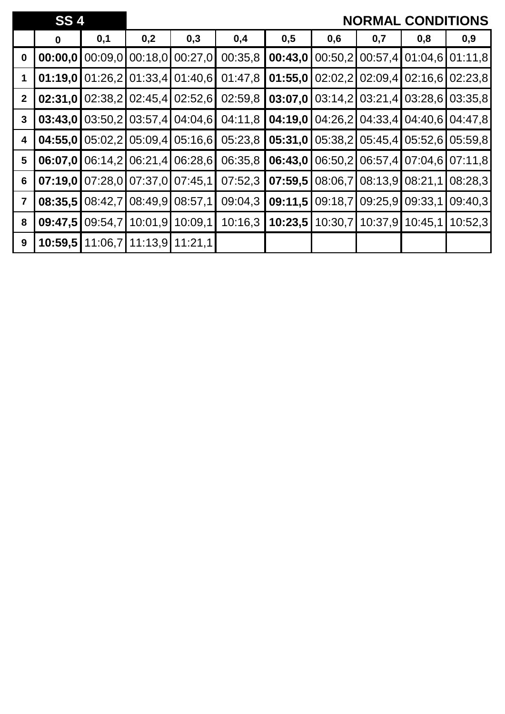|                | <b>SS4</b> |         |                         |                 |         |         |         |                   | <b>NORMAL CONDITIONS</b> |                   |
|----------------|------------|---------|-------------------------|-----------------|---------|---------|---------|-------------------|--------------------------|-------------------|
|                | $\bf{0}$   | 0,1     | 0,2                     | 0,3             | 0,4     | 0,5     | 0,6     | 0,7               | 0,8                      | 0,9               |
| $\bf{0}$       | 00:00,0    | 00:09,0 | 00:18,0                 | 00:27,0         | 00:35,8 | 00:43,0 | 00:50,2 |                   | 00:57,4 01:04,6 01:11,8  |                   |
|                | 01:19,0    | 01:26,2 |                         | 01:33,4 01:40,6 | 01:47,8 | 01:55,0 | 02:02,2 | 02:09,4           |                          | $02:16,6$ 02:23,8 |
| $\mathbf{2}$   | 02:31,0    | 02:38,2 | 02:45,4                 | 02:52,6         | 02:59,8 | 03:07,0 | 03:14,2 | 03:21,4           |                          | $03:28,6$ 03:35,8 |
| $\mathbf{3}$   | 03:43,0    |         | $03:50,2$ 03:57,4       | 04:04,6         | 04:11,8 | 04:19,0 | 04:26,2 | 04:33,4           |                          | 04:40,6 04:47,8   |
| 4              | 04:55,0    | 05:02,2 | 05:09,4                 | 05:16,6         | 05:23,8 | 05:31,0 |         | $05:38,2$ 05:45,4 | 05:52,6                  | 05:59,8           |
| 5              | 06:07,0    | 06:14,2 | 06:21,4                 | 06:28,6         | 06:35,8 | 06:43,0 | 06:50,2 |                   | 06:57,4 07:04,6 07:11,8  |                   |
| 6              | 07:19,0    |         | 07:28,0 07:37,0 07:45,1 |                 | 07:52,3 | 07:59,5 | 08:06,7 | 08:13,9           | 08:21,1                  | 08:28,3           |
| $\overline{7}$ | 08:35,5    | 08:42,7 | 08:49,9                 | 08:57,1         | 09:04,3 | 09:11,5 | 09:18,7 | 09:25.9           | 09:33,1                  | 09:40,3           |
| 8              | 09:47,5    | 09:54,7 | 10:01,9                 | 10:09,1         | 10:16,3 | 10:23.5 | 10:30,7 | 10:37.9           | 10:45,1                  | 10:52,3           |
| 9              | 10:59,5    |         | 11:06,7 11:13,9 11:21,1 |                 |         |         |         |                   |                          |                   |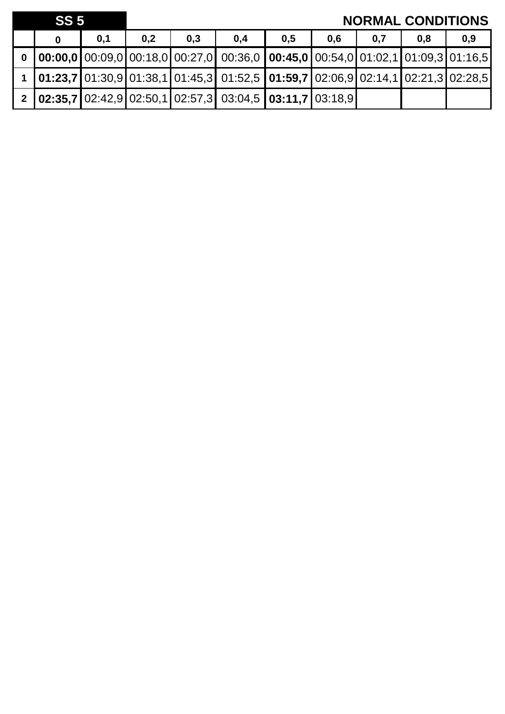|          | SS <sub>5</sub> |     |     |     |                                                                                                                                                                         |     |     |     | <b>NORMAL CONDITIONS</b> |     |
|----------|-----------------|-----|-----|-----|-------------------------------------------------------------------------------------------------------------------------------------------------------------------------|-----|-----|-----|--------------------------|-----|
|          |                 | 0,1 | 0,2 | 0,3 | 0,4                                                                                                                                                                     | 0,5 | 0.6 | 0,7 | 0,8                      | 0,9 |
| $\bf{0}$ |                 |     |     |     | $\vert$ 00:00,0 $\vert$ 00:09,0 $\vert$ 00:18,0 $\vert$ 00:27,0 $\vert$ 00:36,0 $\vert$ 00:45,0 $\vert$ 00:54,0 $\vert$ 01:02,1 $\vert$ 01:09,3 $\vert$ 01:16,5 $\vert$ |     |     |     |                          |     |
|          |                 |     |     |     | 1 01:23,7 01:30,9 01:38,1 01:45,3 01:52,5 01:59,7 02:06,9 02:14,1 02:21,3 02:28,5                                                                                       |     |     |     |                          |     |
|          |                 |     |     |     | 2 02:35,7 02:42,9 02:50,1 02:57,3 03:04,5 03:11,7 03:18,9                                                                                                               |     |     |     |                          |     |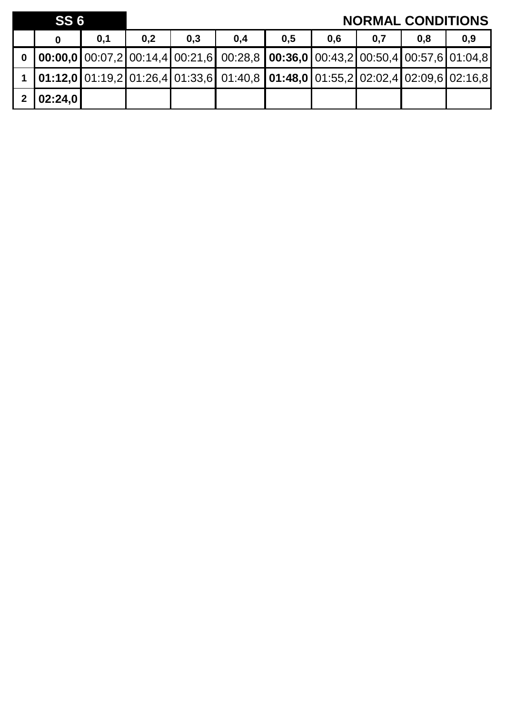| SS <sub>6</sub> |     |     |     |                                                                                                                                                                           |     |     |     | <b>NORMAL CONDITIONS</b> |     |
|-----------------|-----|-----|-----|---------------------------------------------------------------------------------------------------------------------------------------------------------------------------|-----|-----|-----|--------------------------|-----|
|                 | 0,1 | 0,2 | 0,3 | 0,4                                                                                                                                                                       | 0,5 | 0,6 | 0,7 | 0,8                      | 0,9 |
|                 |     |     |     | 0 $\vert$ 00:00,0 $\vert$ 00:07,2 $\vert$ 00:14,4 $\vert$ 00:21,6 $\vert$ 00:28,8 $\vert$ 00:36,0 $\vert$ 00:43,2 $\vert$ 00:50,4 $\vert$ 00:57,6 $\vert$ 01:04,8 $\vert$ |     |     |     |                          |     |
|                 |     |     |     | $\vert$ 01:12,0 $\vert$ 01:19,2 $\vert$ 01:26,4 $\vert$ 01:33,6 $\vert$ 01:40,8 $\vert$ 01:48,0 $\vert$ 01:55,2 $\vert$ 02:02,4 $\vert$ 02:09,6 $\vert$ 02:16,8 $\vert$   |     |     |     |                          |     |
| 2 02:24,0       |     |     |     |                                                                                                                                                                           |     |     |     |                          |     |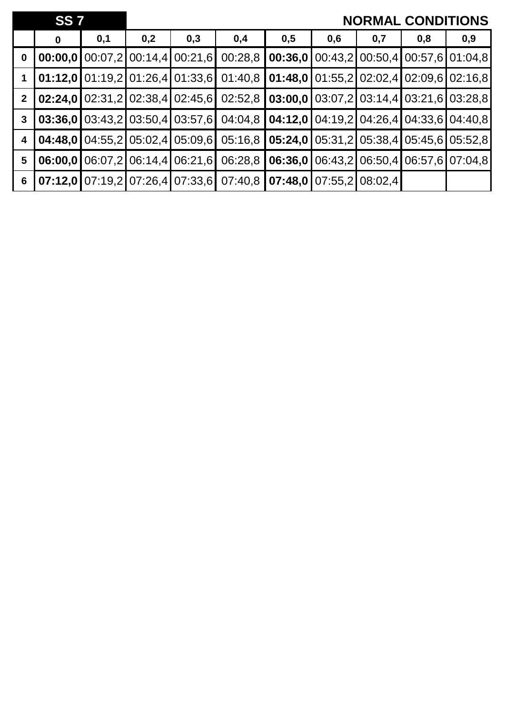|                  | <b>SS 7</b> |     |     |                                        |                                                                                                                                                                                                                                                                                                                                            |     |     |     | <b>NORMAL CONDITIONS</b>                                                              |     |
|------------------|-------------|-----|-----|----------------------------------------|--------------------------------------------------------------------------------------------------------------------------------------------------------------------------------------------------------------------------------------------------------------------------------------------------------------------------------------------|-----|-----|-----|---------------------------------------------------------------------------------------|-----|
|                  | $\bf{0}$    | 0,1 | 0,2 | 0,3                                    | 0,4                                                                                                                                                                                                                                                                                                                                        | 0,5 | 0,6 | 0,7 | 0,8                                                                                   | 0,9 |
| $\boldsymbol{0}$ |             |     |     | <b>00:00,0</b> 00:07,2 00:14,4 00:21,6 | 00:28,8                                                                                                                                                                                                                                                                                                                                    |     |     |     | <b>00:36,0</b> $\boxed{00:43,2}$ $\boxed{00:50,4}$ $\boxed{00:57,6$ $\boxed{01:04,8}$ |     |
| $\overline{1}$   |             |     |     |                                        | $\vert$ 01:12,0 $\vert$ 01:19,2 $\vert$ 01:26,4 $\vert$ 01:33,6 $\vert$ 01:40,8 $\vert$ 01:48,0 $\vert$ 01:55,2 $\vert$ 02:02,4 $\vert$ 02:09,6 $\vert$ 02:16,8                                                                                                                                                                            |     |     |     |                                                                                       |     |
| $\overline{2}$   |             |     |     |                                        | $\vert 02:24,0 \vert 02:31,2 \vert 02:38,4 \vert 02:45,6 \vert 02:52,8 \vert 03:00,0 \vert 03:07,2 \vert 03:14,4 \vert 03:21,6 \vert 03:28,8 \vert 03:2 \vert 03:2 \vert 03:2 \vert 03:2 \vert 03:2 \vert 03:2 \vert 03:2 \vert 03:2 \vert 03:2 \vert 03:2 \vert 03:2 \vert 03:2 \vert 03:2 \vert 03:2 \vert 03:2 \vert 03:2 \vert 03:2 \$ |     |     |     |                                                                                       |     |
| $\mathbf{3}$     |             |     |     |                                        | $\vert 03:36,0 \vert 03:43,2 \vert 03:50,4 \vert 03:57,6 \vert 04:04,8 \vert 04:12,0 \vert 04:19,2 \vert 04:26,4 \vert 04:33,6 \vert 04:40,8 \vert 03:57,6 \vert 04:40,8 \vert 04:40,8 \vert 04:40,8 \vert 04:40,8 \vert 04:40,8 \vert 04:40,8 \vert 04:40,8 \vert 04:40,8 \vert 04:40,8 \vert 04:40,8 \vert 04:40,8$                      |     |     |     |                                                                                       |     |
| 4                |             |     |     |                                        | $\mid$ 04:48,0 $\mid$ 04:55,2 $\mid$ 05:02,4 $\mid$ 05:09,6 $\mid$ 05:16,8 $\mid$ 05:24,0 $\mid$ 05:31,2 $\mid$ 05:38,4 $\mid$ 05:45,6 $\mid$ 05:52,8                                                                                                                                                                                      |     |     |     |                                                                                       |     |
| $5\phantom{1}$   |             |     |     |                                        | <b>06:00,0</b> 06:07,2 06:14,4 06:21,6 06:28,8 <b>06:36,0</b> 06:43,2 06:50,4 06:57,6 07:04,8                                                                                                                                                                                                                                              |     |     |     |                                                                                       |     |
| $6\phantom{1}6$  |             |     |     |                                        |                                                                                                                                                                                                                                                                                                                                            |     |     |     |                                                                                       |     |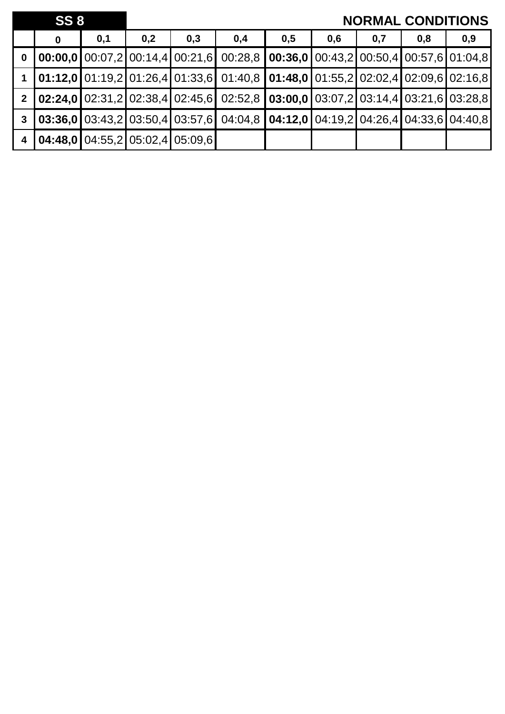|                         | <b>SS 8</b>                                                 |     |     |     |                                                                                                                                               |     |     | <b>NORMAL CONDITIONS</b> |     |     |
|-------------------------|-------------------------------------------------------------|-----|-----|-----|-----------------------------------------------------------------------------------------------------------------------------------------------|-----|-----|--------------------------|-----|-----|
|                         | 0                                                           | 0,1 | 0,2 | 0,3 | 0,4                                                                                                                                           | 0,5 | 0,6 | 0,7                      | 0,8 | 0,9 |
| $\mathbf 0$             |                                                             |     |     |     | <b>00:00,0</b> 00:07,2 00:14,4 00:21,6 00:28,8 <b>00:36,0</b> 00:43,2 00:50,4 00:57,6 01:04,8                                                 |     |     |                          |     |     |
|                         |                                                             |     |     |     | $[01:12,0]$ 01:19,2 $[01:26,4]$ 01:33,6 $[01:40,8]$ 01:48,0 $[01:55,2]$ 02:02,4 $[02:09,6]$ 02:16,8                                           |     |     |                          |     |     |
| 2 <sup>7</sup>          |                                                             |     |     |     | $\vert 02:24,0 \vert 02:31,2 \vert 02:38,4 \vert 02:45,6 \vert 02:52,8 \vert 03:00,0 \vert 03:07,2 \vert 03:14,4 \vert 03:21,6 \vert 03:28,8$ |     |     |                          |     |     |
| $\mathbf{3}$            |                                                             |     |     |     | $\vert 03:36,0 \vert 03:43,2 \vert 03:50,4 \vert 03:57,6 \vert 04:04,8 \vert 04:12,0 \vert 04:19,2 \vert 04:26,4 \vert 04:33,6 \vert 04:40,8$ |     |     |                          |     |     |
| $\overline{\mathbf{4}}$ | $\mid$ 04:48,0 $\mid$ 04:55,2 $\mid$ 05:02,4 $\mid$ 05:09,6 |     |     |     |                                                                                                                                               |     |     |                          |     |     |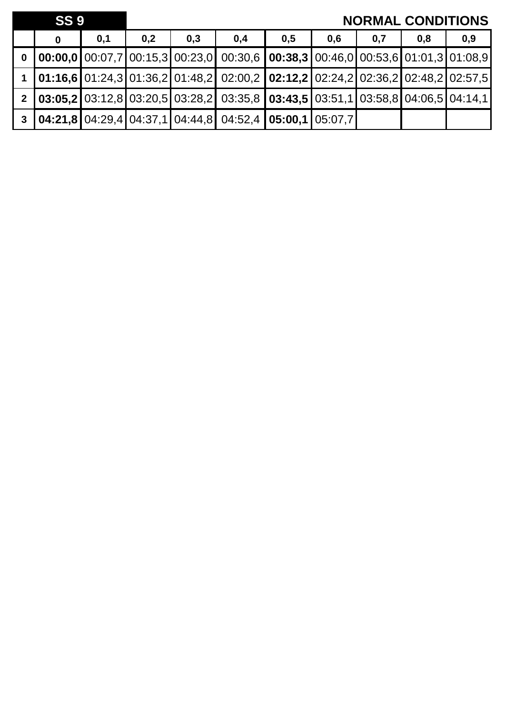|              | <b>SS 9</b> |     |     |     |                                                                                                                                                                 |     |     | <b>NORMAL CONDITIONS</b> |     |     |
|--------------|-------------|-----|-----|-----|-----------------------------------------------------------------------------------------------------------------------------------------------------------------|-----|-----|--------------------------|-----|-----|
|              | 0           | 0,1 | 0,2 | 0,3 | 0,4                                                                                                                                                             | 0,5 | 0,6 | 0,7                      | 0,8 | 0,9 |
|              |             |     |     |     | $\vert$ 00:00,0 $\vert$ 00:07,7 $\vert$ 00:15,3 $\vert$ 00:23,0 $\vert$ 00:30,6 $\vert$ 00:38,3 $\vert$ 00:46,0 $\vert$ 00:53,6 $\vert$ 01:01,3 $\vert$ 01:08,9 |     |     |                          |     |     |
|              |             |     |     |     | $\vert$ 01:16,6 $\vert$ 01:24,3 $\vert$ 01:36,2 $\vert$ 01:48,2 $\vert$ 02:00,2 $\vert$ 02:12,2 $\vert$ 02:24,2 $\vert$ 02:36,2 $\vert$ 02:48,2 $\vert$ 02:57,5 |     |     |                          |     |     |
| $\mathbf{2}$ |             |     |     |     | $\vert$ 03:05,2 03:12,8 03:20,5 03:28,2 03:35,8 03:43,5 03:51,1 03:58,8 04:06,5 04:14,1                                                                         |     |     |                          |     |     |
|              |             |     |     |     | $\vert$ 04:21,8 04:29,4 04:37,1 04:44,8 04:52,4 05:00,1 05:07,7                                                                                                 |     |     |                          |     |     |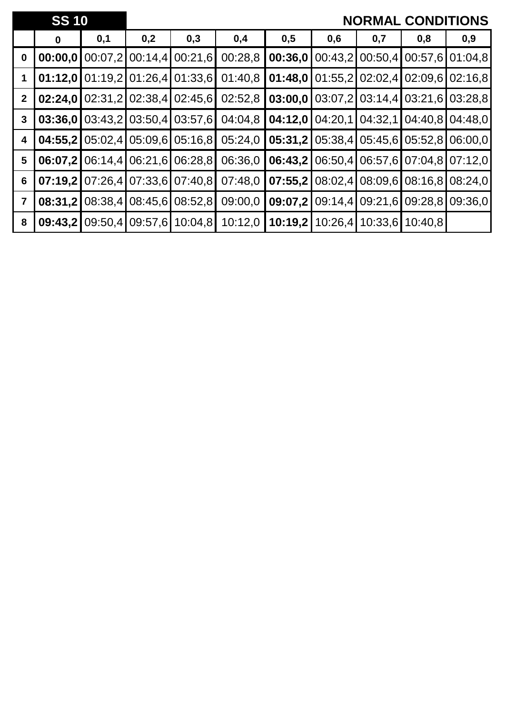|                         | <b>SS 10</b> |         |     |                                         |         |         |     |     | <b>NORMAL CONDITIONS</b>                                                         |         |
|-------------------------|--------------|---------|-----|-----------------------------------------|---------|---------|-----|-----|----------------------------------------------------------------------------------|---------|
|                         | 0            | 0,1     | 0,2 | 0,3                                     | 0,4     | 0,5     | 0,6 | 0,7 | 0,8                                                                              | 0,9     |
| $\mathbf 0$             | 00:00,0      | 00:07,2 |     | $00:14,4$ 00:21,6                       | 00:28,8 | 00:36,0 |     |     | 00:43,2 00:50,4 00:57,6 01:04,8                                                  |         |
|                         |              |         |     | $01:12,0$   01:19,2   01:26,4   01:33,6 | 01:40,8 |         |     |     | $01:48,0101:55,2102:02,4102:09,6102:16,8$                                        |         |
| $\mathbf{2}$            | 02:24,0      |         |     | 02:31,2102:38,4102:45,6                 | 02:52,8 |         |     |     | <b>03:00,0</b> $\left[ 03:07,2 \right]$ 03:14,4 $\left[ 03:21,6 \right]$ 03:28,8 |         |
| 3                       |              |         |     | 03:36.0103:43.2103:50.4103:57.61        | 04:04,8 |         |     |     | <b>04:12,0</b>   04:20,1   04:32,1   04:40,8   04:48,0                           |         |
| 4                       | 04:55,2      |         |     | 05:02,4 05:09,6 05:16,8                 | 05:24,0 |         |     |     | <b>05:31,2</b> $\left  05:38,4 \right  05:45,6$ $\left  05:52,8 \right  06:00,0$ |         |
| 5                       | 06:07,2      |         |     | $06:14.4$ $06:21.6$ $06:28.8$           | 06:36,0 | 06:43,2 |     |     | $06:50,4$ $06:57,6$ $07:04,8$ $07:12,0$                                          |         |
| $6\phantom{1}6$         | 07:19,2      |         |     | 07:26,4 07:33,6 07:40,8                 | 07:48,0 | 07:55,2 |     |     | $08:02,4$ 08:09,6 08:16,8 08:24,0                                                |         |
| $\overline{\mathbf{7}}$ | 08:31,2      | 08:38,4 |     | 08:45,6 08:52,8                         | 09:00,0 | 09:07,2 |     |     | 09:14,4 09:21,6 09:28,8                                                          | 09:36.0 |
| 8                       | 09:43,2      |         |     | 09:50,4 09:57,6 10:04,8                 | 10:12,0 | 10:19,2 |     |     | 10:26,4 10:33,6 10:40,8                                                          |         |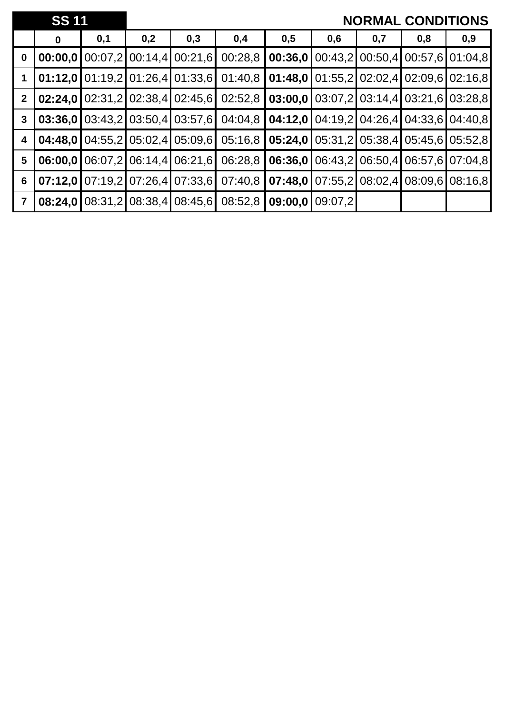|                | <b>SS 11</b> |     |     |                                          |                                                                            |         |                 |     |                                                                                  | <b>NORMAL CONDITIONS</b>                                                         |
|----------------|--------------|-----|-----|------------------------------------------|----------------------------------------------------------------------------|---------|-----------------|-----|----------------------------------------------------------------------------------|----------------------------------------------------------------------------------|
|                | $\bf{0}$     | 0,1 | 0,2 | 0,3                                      | 0,4                                                                        | 0,5     | 0,6             | 0,7 | 0,8                                                                              | 0,9                                                                              |
| $\bf{0}$       | 00:00,0      |     |     | $00:07,2$ 00:14,4 00:21,6                | 00:28,8                                                                    | 00:36,0 |                 |     |                                                                                  | 00:43,2 00:50,4 00:57,6 01:04,8                                                  |
|                |              |     |     | $01:12,0$   01:19,2   01:26,4   01:33,6  | 01:40,8                                                                    |         |                 |     | <b>01:48,0</b> $\left[ 01:55,2 \right]$ 02:02,4 $\left[ 02:09,6 \right]$ 02:16,8 |                                                                                  |
| $\mathbf{2}$   |              |     |     | $02:24.0$   02:31,2   02:38,4   02:45,6  | 02:52,8                                                                    |         |                 |     |                                                                                  | <b>03:00.0 03:07.2 03:14.4 03:21.6 03:28.8</b>                                   |
| $\mathbf{3}$   |              |     |     |                                          | <b>03:36.0</b> $\mid$ 03:43.2 $\mid$ 03:50.4 $\mid$ 03:57.6 $\mid$ 04:04.8 |         |                 |     |                                                                                  | <b>04:12,0</b> $\left[ 04:19,2 \right]$ 04:26,4 $\left[ 04:33,6 \right]$ 04:40,8 |
| 4              | 04:48.0      |     |     | 04:55,2105:02,4105:09,61                 | 05:16,8                                                                    |         |                 |     |                                                                                  | $05:24.0$   05:31,2   05:38,4   05:45,6   05:52,8                                |
| 5              | 06:00.0      |     |     | 06:07.2 06:14.4 06:21.6                  | 06:28.8                                                                    | 06:36.0 |                 |     |                                                                                  | 06:43,2 06:50,4 06:57,6 07:04,8                                                  |
| 6              |              |     |     | 07:12.0107:19.2107:26.4107:33.61         | 07:40.8                                                                    | 07:48,0 |                 |     | $\vert 07:55.2 \vert 08:02.4 \vert 08:09.6 \vert 08:16.8 \vert$                  |                                                                                  |
| $\overline{7}$ |              |     |     | <b>08:24,0 08:31,2 08:38,4 08:45,6  </b> | 08:52,8                                                                    |         | 09:00,0109:07,2 |     |                                                                                  |                                                                                  |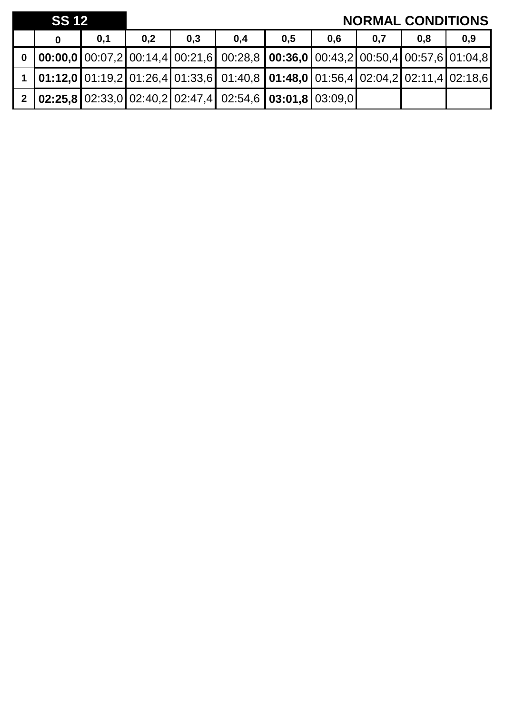| <b>SS 12</b> |     |     |     |                                                                                                                   |     |     |     | <b>NORMAL CONDITIONS</b> |     |
|--------------|-----|-----|-----|-------------------------------------------------------------------------------------------------------------------|-----|-----|-----|--------------------------|-----|
|              | 0,1 | 0,2 | 0,3 | 0,4                                                                                                               | 0,5 | 0.6 | 0,7 | 0.8                      | 0,9 |
|              |     |     |     | 0 $\vert$ 00:00,0 $\vert$ 00:07,2 $\vert$ 00:14,4 $\vert$ 00:21,6 00:28,8 00:36,0 00:43,2 00:50,4 00:57,6 01:04,8 |     |     |     |                          |     |
|              |     |     |     | 1 <b>01:12,0</b> 01:19,2 01:26,4 01:33,6 01:40,8 <b>01:48,0</b> 01:56,4 02:04,2 02:11,4 02:18,6                   |     |     |     |                          |     |
|              |     |     |     | 2   02:25,8   02:33,0   02:40,2   02:47,4   02:54,6   03:01,8   03:09,0                                           |     |     |     |                          |     |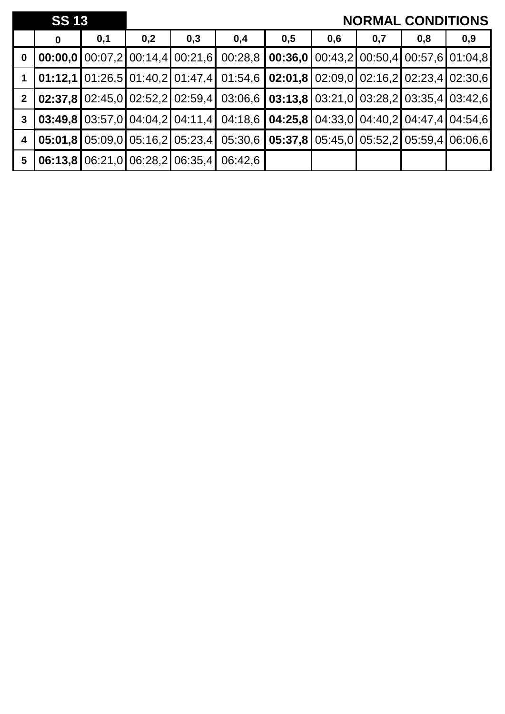|                         | <b>SS 13</b> |     |     |                                         |                                                                                                                                                                 |     |     |     | <b>NORMAL CONDITIONS</b>                       |     |
|-------------------------|--------------|-----|-----|-----------------------------------------|-----------------------------------------------------------------------------------------------------------------------------------------------------------------|-----|-----|-----|------------------------------------------------|-----|
|                         | 0            | 0,1 | 0,2 | 0,3                                     | 0,4                                                                                                                                                             | 0,5 | 0,6 | 0,7 | 0,8                                            | 0,9 |
| $\mathbf 0$             |              |     |     | 00:00,0100:07,2100:14,4100:21,6         | 00:28,8                                                                                                                                                         |     |     |     | <b>00:36,0</b> 00:43,2 00:50,4 00:57,6 01:04,8 |     |
|                         |              |     |     |                                         | $\vert$ 01:12,1 $\vert$ 01:26,5 $\vert$ 01:40,2 $\vert$ 01:47,4 $\vert$ 01:54,6 $\vert$ 02:01,8 $\vert$ 02:09,0 $\vert$ 02:16,2 $\vert$ 02:23,4 $\vert$ 02:30,6 |     |     |     |                                                |     |
| $\overline{2}$          |              |     |     |                                         | <b>02:37,8</b> 02:45,0 02:52,2 02:59,4 03:06,6 <b>03:13,8</b> 03:21,0 03:28,2 03:35,4 03:42,6                                                                   |     |     |     |                                                |     |
| $\mathbf{3}$            |              |     |     |                                         | <b>03:49,8</b> 03:57,0 04:04,2 04:11,4 04:18,6 <b>04:25,8</b> 04:33,0 04:40,2 04:47,4 04:54,6                                                                   |     |     |     |                                                |     |
| $\overline{\mathbf{4}}$ |              |     |     | $05:01,8$   05:09,0   05:16,2   05:23,4 | 05:30,6                                                                                                                                                         |     |     |     | $05:37,8$ 05:45,0 05:52,2 05:59,4 06:06,6      |     |
| $5\phantom{1}$          |              |     |     | $06:13.8$ 06:21,0 06:28,2 06:35,4       | 06:42,6                                                                                                                                                         |     |     |     |                                                |     |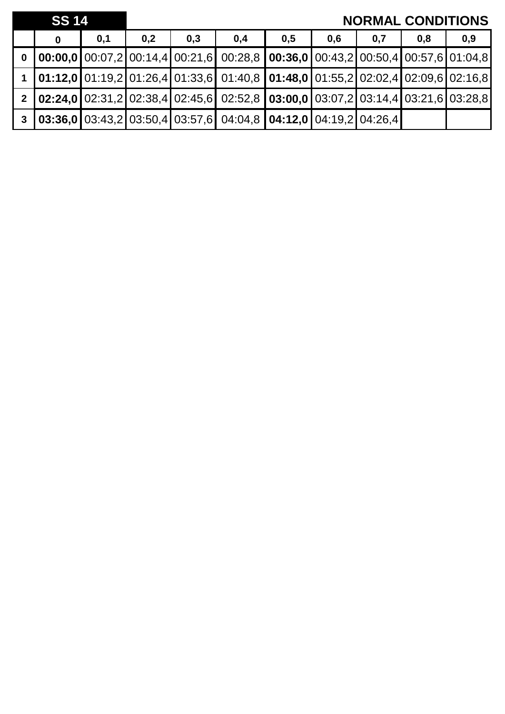|             | <b>SS 14</b> |     |     | <b>NORMAL CONDITIONS</b> |                                                                                                                                                                 |     |     |     |     |     |
|-------------|--------------|-----|-----|--------------------------|-----------------------------------------------------------------------------------------------------------------------------------------------------------------|-----|-----|-----|-----|-----|
|             | $\bf{0}$     | 0,1 | 0,2 | 0,3                      | 0,4                                                                                                                                                             | 0,5 | 0,6 | 0,7 | 0,8 | 0,9 |
| $\mathbf 0$ |              |     |     |                          | $\vert$ 00:00,0 $\vert$ 00:07,2 $\vert$ 00:14,4 $\vert$ 00:21,6 $\vert$ 00:28,8 $\vert$ 00:36,0 $\vert$ 00:43,2 $\vert$ 00:50,4 $\vert$ 00:57,6 $\vert$ 01:04,8 |     |     |     |     |     |
|             |              |     |     |                          | $\vert$ 01:12,0 $\vert$ 01:19,2 $\vert$ 01:26,4 $\vert$ 01:33,6 $\vert$ 01:40,8 $\vert$ 01:48,0 $\vert$ 01:55,2 $\vert$ 02:02,4 $\vert$ 02:09,6 $\vert$ 02:16,8 |     |     |     |     |     |
|             |              |     |     |                          | 2 02:24,0 02:31,2 02:38,4 02:45,6 02:52,8 03:00,0 03:07,2 03:14,4 03:21,6 03:28,8                                                                               |     |     |     |     |     |
|             |              |     |     |                          | $\vert$ 03:36,0 03:43,2 03:50,4 03:57,6 04:04,8 04:12,0 04:19,2 04:26,4                                                                                         |     |     |     |     |     |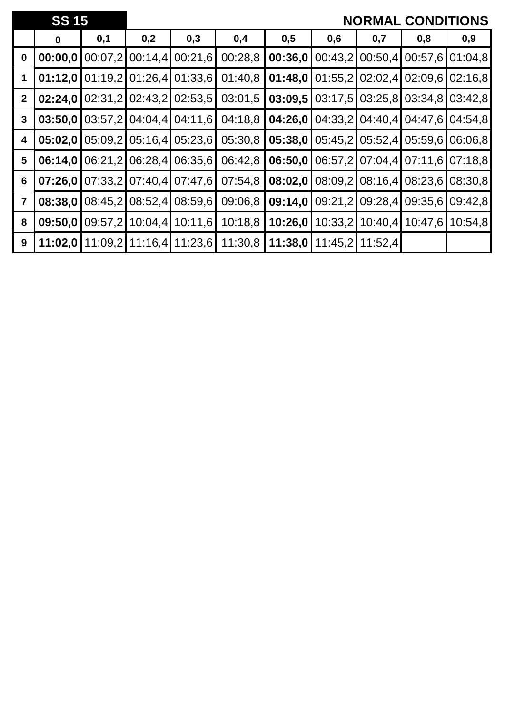|                | <b>SS 15</b> |         |         |                           |         |                                       |         |         | <b>NORMAL CONDITIONS</b> |                 |
|----------------|--------------|---------|---------|---------------------------|---------|---------------------------------------|---------|---------|--------------------------|-----------------|
|                | $\bf{0}$     | 0,1     | 0,2     | 0,3                       | 0,4     | 0,5                                   | 0,6     | 0,7     | 0,8                      | 0,9             |
| $\bf{0}$       | 00:00,0      | 00:07,2 |         | 00:14,4 00:21,6           | 00:28,8 | 00:36,0                               | 00:43,2 | 00:50,4 | 00:57,6 01:04,8          |                 |
| 1              | 01:12,0      | 01:19,2 |         | $01:26,4$ 01:33,6         | 01:40,8 | 01:48,0                               | 01:55,2 | 02:02,4 | $02:09,6$ 02:16,8        |                 |
| $\mathbf{2}$   | 02:24,0      |         |         | $02:31,2$ 02:43,2 02:53,5 | 03:01,5 | 03:09,5                               | 03:17,5 |         | 03:25,8 03:34,8 03:42,8  |                 |
| $\mathbf{3}$   | 03:50,0      |         |         | 03:57,2 04:04,4 04:11,6   | 04:18,8 | 04:26,0                               | 04:33,2 |         | 04:40,4 04:47,6 04:54,8  |                 |
| 4              | 05:02,0      | 05:09,2 | 05:16,4 | 05:23,6                   | 05:30,8 | 05:38,0                               | 05:45,2 | 05:52,4 | 05:59,6                  | 06:06.8         |
| 5              | 06:14,0      | 06:21,2 | 06:28,4 | 06:35,6                   | 06:42,8 | 06:50,0                               | 06:57,2 |         | 07:04,4 07:11,6 07:18,8  |                 |
| 6              | 07:26,0      |         |         | 07:33,2 07:40,4 07:47,6   | 07:54,8 | 08:02,0                               | 08:09,2 |         | 08:16,4 08:23,6 08:30,8  |                 |
| $\overline{7}$ | 08:38,0      | 08:45,2 | 08:52,4 | 08:59,6                   | 09:06,8 | 09:14,0                               | 09:21,2 | 09:28,4 | 09:35,6 09:42,8          |                 |
| 8              | 09:50,0      | 09:57,2 |         | 10:04,4 10:11,6           | 10:18,8 | 10:26,0                               | 10:33,2 | 10:40,4 |                          | 10:47,6 10:54,8 |
| 9              | 11:02,0      |         |         | 11:09.2 11:16.4 11:23.6   |         | 11:30,8   11:38,0   11:45,2   11:52,4 |         |         |                          |                 |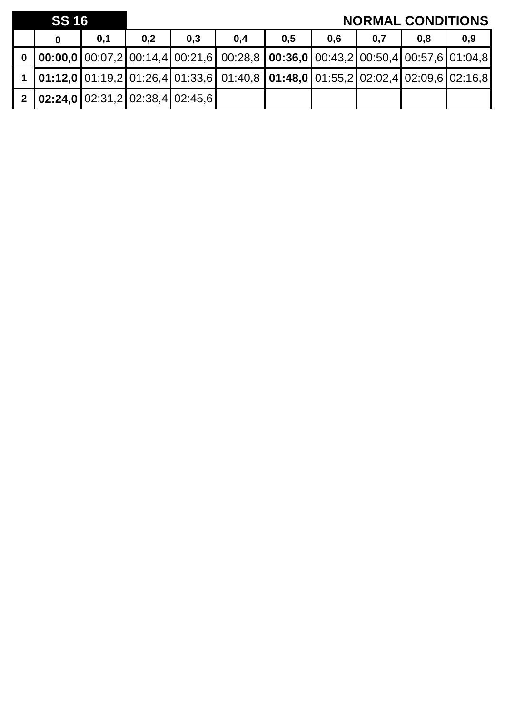|          | <b>SS 16</b>                              |     |     |     |                                                                                                                                                                         |     |     |     | <b>NORMAL CONDITIONS</b> |     |
|----------|-------------------------------------------|-----|-----|-----|-------------------------------------------------------------------------------------------------------------------------------------------------------------------------|-----|-----|-----|--------------------------|-----|
|          |                                           | 0,1 | 0,2 | 0.3 | 0.4                                                                                                                                                                     | 0,5 | 0.6 | 0,7 | 0.8                      | 0,9 |
| $\bf{0}$ |                                           |     |     |     | $\vert$ 00:00,0 $\vert$ 00:07,2 $\vert$ 00:14,4 $\vert$ 00:21,6 $\vert$ 00:28,8 $\vert$ 00:36,0 $\vert$ 00:43,2 $\vert$ 00:50,4 $\vert$ 00:57,6 $\vert$ 01:04,8 $\vert$ |     |     |     |                          |     |
|          |                                           |     |     |     | 1 <b>01:12,0</b> 01:19,2 01:26,4 01:33,6 01:40,8 <b>01:48,0</b> 01:55,2 02:02,4 02:09,6 02:16,8                                                                         |     |     |     |                          |     |
|          | 2   02:24,0   02:31,2   02:38,4   02:45,6 |     |     |     |                                                                                                                                                                         |     |     |     |                          |     |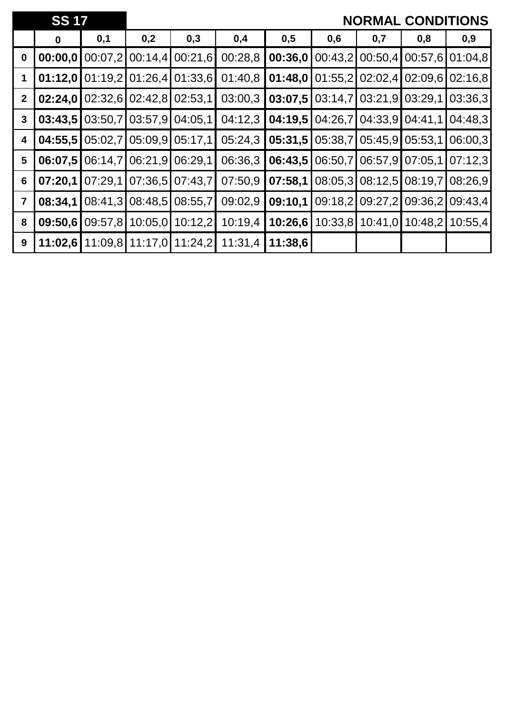|                | <b>SS 17</b> |         |                           |                         |         |         |         |         | <b>NORMAL CONDITIONS</b> |         |
|----------------|--------------|---------|---------------------------|-------------------------|---------|---------|---------|---------|--------------------------|---------|
|                | $\bf{0}$     | 0,1     | 0,2                       | 0,3                     | 0,4     | 0,5     | 0,6     | 0,7     | 0,8                      | 0,9     |
| $\bf{0}$       | 00:00,0      | 00:07,2 | 00:14,4                   | 00:21,6                 | 00:28,8 | 00:36,0 | 00:43,2 | 00:50,4 | 00:57,6 01:04,8          |         |
| 1              | 01:12,0      | 01:19,2 |                           | 01:26,4 01:33,6         | 01:40,8 | 01:48,0 | 01:55,2 | 02:02,4 | 02:09,6                  | 02:16,8 |
| $\mathbf{2}$   | 02:24,0      |         | $02:32,6$ 02:42,8 02:53,1 |                         | 03:00,3 | 03:07,5 | 03:14,7 | 03:21,9 | 03:29,1                  | 03:36,3 |
| $\mathbf{3}$   | 03:43,5      | 03:50,7 | 03:57,9                   | 04:05,1                 | 04:12,3 | 04:19,5 | 04:26,7 | 04:33.9 | 04:41,1                  | 04:48.3 |
| 4              | 04:55,5      | 05:02,7 | 05:09,9                   | 05:17,1                 | 05:24,3 | 05:31,5 | 05:38,7 | 05:45.9 | 05:53,1                  | 06:00,3 |
| 5              | 06:07,5      | 06:14,7 | 06:21,9                   | 06:29,1                 | 06:36,3 | 06:43,5 | 06:50,7 | 06:57,9 | 07:05.1                  | 07:12,3 |
| 6              | 07:20,1      | 07:29,1 | 07:36,5                   | 07:43,7                 | 07:50,9 | 07:58,1 | 08:05,3 | 08:12,5 | 08:19,7                  | 08:26,9 |
| $\overline{7}$ | 08:34,1      | 08:41,3 | 08:48,5                   | 08:55,7                 | 09:02,9 | 09:10,1 | 09:18,2 | 09:27,2 | 09:36,2                  | 09:43,4 |
| 8              | 09:50,6      | 09:57,8 | 10:05,0                   | 10:12,2                 | 10:19,4 | 10:26,6 | 10:33,8 | 10:41,0 | 10:48,2                  | 10:55,4 |
| 9              | 11:02,6      |         |                           | 11:09,8 11:17,0 11:24,2 | 11:31,4 | 11:38,6 |         |         |                          |         |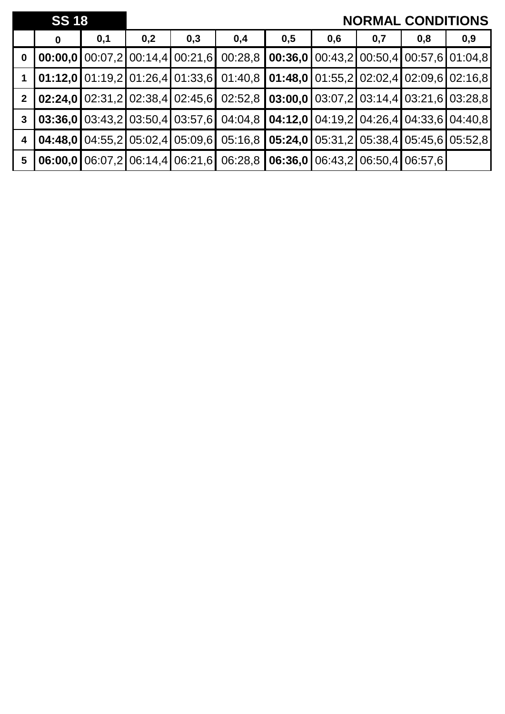|                         | <b>SS 18</b> |     | <b>NORMAL CONDITIONS</b> |                                 |                                                                                                                                                                                                                                                                                                                                            |     |     |     |                                                                                        |     |
|-------------------------|--------------|-----|--------------------------|---------------------------------|--------------------------------------------------------------------------------------------------------------------------------------------------------------------------------------------------------------------------------------------------------------------------------------------------------------------------------------------|-----|-----|-----|----------------------------------------------------------------------------------------|-----|
|                         | $\bf{0}$     | 0,1 | 0,2                      | 0,3                             | 0,4                                                                                                                                                                                                                                                                                                                                        | 0,5 | 0,6 | 0,7 | 0,8                                                                                    | 0,9 |
| $\mathbf 0$             |              |     |                          | 00:00.0100:07,2100:14,4100:21,6 | 00:28,8                                                                                                                                                                                                                                                                                                                                    |     |     |     | <b>00:36,0</b> $\boxed{00:43,2}$ $\boxed{00:50,4}$ $\boxed{00:57,6}$ $\boxed{01:04,8}$ |     |
|                         |              |     |                          |                                 | $\vert 01:12,0 \vert 01:19,2 \vert 01:26,4 \vert 01:33,6 \vert 01:40,8 \vert 01:48,0 \vert 01:55,2 \vert 02:02,4 \vert 02:09,6 \vert 02:16,8$                                                                                                                                                                                              |     |     |     |                                                                                        |     |
| 2 <sup>1</sup>          |              |     |                          |                                 | $\vert 02:24,0 \vert 02:31,2 \vert 02:38,4 \vert 02:45,6 \vert 02:52,8 \vert 03:00,0 \vert 03:07,2 \vert 03:14,4 \vert 03:21,6 \vert 03:28,8 \vert 03:2 \vert 03:2 \vert 03:2 \vert 03:2 \vert 03:2 \vert 03:2 \vert 03:2 \vert 03:2 \vert 03:2 \vert 03:2 \vert 03:2 \vert 03:2 \vert 03:2 \vert 03:2 \vert 03:2 \vert 03:2 \vert 03:2 \$ |     |     |     |                                                                                        |     |
| $\mathbf{3}$            |              |     |                          |                                 | <b>03:36,0</b> $\left[ 03:43,2 \right]$ $03:50,4$ $\left[ 03:57,6 \right]$ $04:04,8$ $\left[ 04:12,0 \right]$ $04:19,2$ $\left[ 04:26,4 \right]$ $04:33,6$ $\left[ 04:40,8 \right]$                                                                                                                                                        |     |     |     |                                                                                        |     |
| $\overline{\mathbf{4}}$ |              |     |                          |                                 | <b>04:48,0</b> 04:55,2 05:02,4 05:09,6 05:16,8 <b>05:24,0</b> 05:31,2 05:38,4 05:45,6 05:52,8                                                                                                                                                                                                                                              |     |     |     |                                                                                        |     |
| $5\phantom{1}$          |              |     |                          |                                 | 06:00,0 06:07,2 06:14,4 06:21,6 06:28,8 06:36,0 06:43,2 06:50,4 06:57,6                                                                                                                                                                                                                                                                    |     |     |     |                                                                                        |     |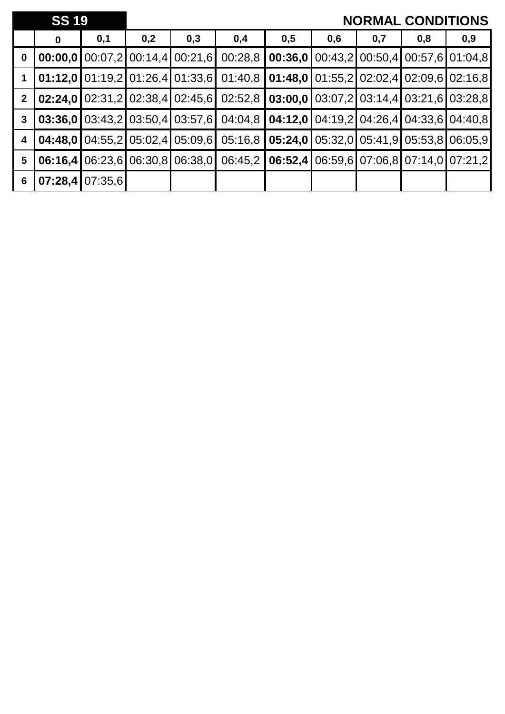|                         | <b>SS 19</b> |                   |     |                                                                      |                                                                                                          |                                                             |     |     | <b>NORMAL CONDITIONS</b>                                                              |     |
|-------------------------|--------------|-------------------|-----|----------------------------------------------------------------------|----------------------------------------------------------------------------------------------------------|-------------------------------------------------------------|-----|-----|---------------------------------------------------------------------------------------|-----|
|                         | $\bf{0}$     | 0,1               | 0,2 | 0,3                                                                  | 0,4                                                                                                      | 0,5                                                         | 0,6 | 0,7 | 0,8                                                                                   | 0,9 |
| $\mathbf 0$             |              |                   |     | 00:00,0100:07,2100:14,4100:21,6                                      | 00:28,8                                                                                                  |                                                             |     |     | <b>00:36,0</b> $\boxed{00:43,2}$ $\boxed{00:50,4}$ $\boxed{00:57,6$ $\boxed{01:04,8}$ |     |
|                         |              |                   |     | $01:12,0$   01:19,2   01:26,4   01:33,6                              |                                                                                                          | $01:40,8$   01:48,0   01:55,2   02:02,4   02:09,6   02:16,8 |     |     |                                                                                       |     |
| 2 <sup>2</sup>          |              |                   |     |                                                                      | <b>02:24,0</b> $02:31,2$ $02:38,4$ $02:45,6$ $02:52,8$ $03:00,0$ $03:07,2$ $03:14,4$ $03:21,6$ $03:28,8$ |                                                             |     |     |                                                                                       |     |
| $\mathbf{3}$            |              |                   |     | 03:36.0103:43.2103:50.4103:57.61                                     |                                                                                                          | $04:04,8$   04:12,0   04:19,2   04:26,4   04:33,6   04:40,8 |     |     |                                                                                       |     |
| $\overline{\mathbf{4}}$ |              |                   |     | <b>04:48,0</b> $\boxed{04:55,2}$ $\boxed{05:02,4}$ $\boxed{05:09,6}$ |                                                                                                          | 05:16,8   05:24,0   05:32,0   05:41,9   05:53,8   06:05,9   |     |     |                                                                                       |     |
| $5\phantom{.0}$         | 06:16.4      |                   |     | 06:23,6 06:30,8 06:38,0                                              |                                                                                                          | 06:45,2   06:52,4   06:59,6   07:06,8   07:14,0   07:21,2   |     |     |                                                                                       |     |
| 6                       |              | $07:28,4$ 07:35,6 |     |                                                                      |                                                                                                          |                                                             |     |     |                                                                                       |     |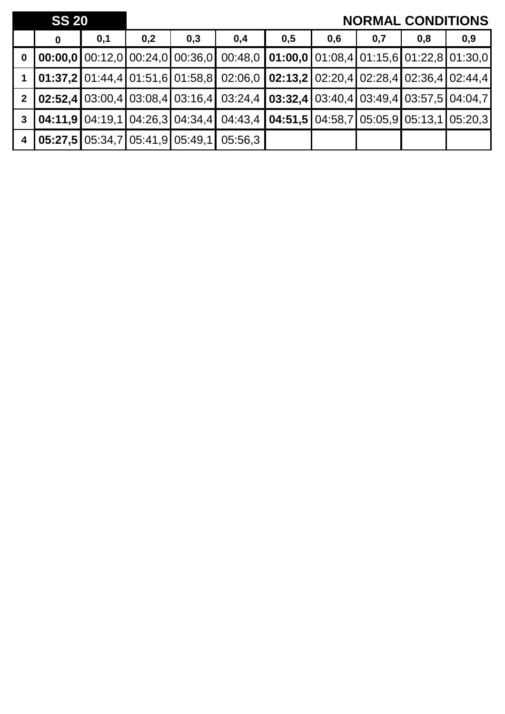|                | <b>SS 20</b>                                                            |     |     |     |                                                                                                                                                                 |     |     | <b>NORMAL CONDITIONS</b> |     |     |
|----------------|-------------------------------------------------------------------------|-----|-----|-----|-----------------------------------------------------------------------------------------------------------------------------------------------------------------|-----|-----|--------------------------|-----|-----|
|                | 0                                                                       | 0,1 | 0,2 | 0,3 | 0,4                                                                                                                                                             | 0,5 | 0,6 | 0,7                      | 0,8 | 0,9 |
| $\mathbf 0$    |                                                                         |     |     |     | 00:00,0 00:12,0 00:24,0 00:36,0 00:48,0 01:00,0 01:08,4 01:15,6 01:22,8 01:30,0                                                                                 |     |     |                          |     |     |
|                |                                                                         |     |     |     | 1 <b>01:37,2</b> 01:44,4 01:51,6 01:58,8 02:06,0 <b>02:13,2</b> 02:20,4 02:28,4 02:36,4 02:44,4                                                                 |     |     |                          |     |     |
| $\overline{2}$ |                                                                         |     |     |     | $\vert$ 02:52,4 $\vert$ 03:00,4 $\vert$ 03:08,4 $\vert$ 03:16,4 $\vert$ 03:24,4 $\vert$ 03:32,4 $\vert$ 03:40,4 $\vert$ 03:49,4 $\vert$ 03:57,5 $\vert$ 04:04,7 |     |     |                          |     |     |
| $\mathbf{3}$   |                                                                         |     |     |     | $\vert$ 04:11,9 $\vert$ 04:19,1 $\vert$ 04:26,3 $\vert$ 04:34,4 $\vert$ 04:43,4 $\vert$ 04:51,5 $\vert$ 04:58,7 $\vert$ 05:05,9 $\vert$ 05:13,1 $\vert$ 05:20,3 |     |     |                          |     |     |
| 4 <sup>1</sup> | $\vert$ 05:27,5 $\vert$ 05:34,7 $\vert$ 05:41,9 $\vert$ 05:49,1 $\vert$ |     |     |     | 05:56.3                                                                                                                                                         |     |     |                          |     |     |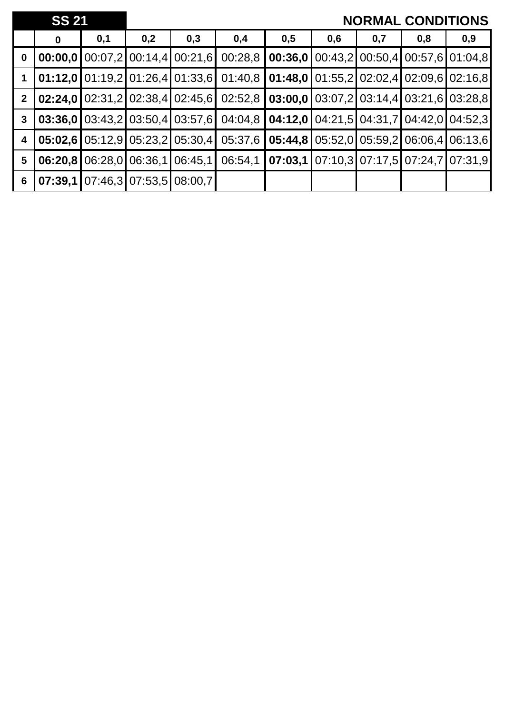|                | <b>SS 21</b> |     |     |                                          |                                                                                               |     |     |     | <b>NORMAL CONDITIONS</b>                               |     |
|----------------|--------------|-----|-----|------------------------------------------|-----------------------------------------------------------------------------------------------|-----|-----|-----|--------------------------------------------------------|-----|
|                | 0            | 0,1 | 0,2 | 0,3                                      | 0,4                                                                                           | 0,5 | 0,6 | 0,7 | 0,8                                                    | 0,9 |
| $\mathbf 0$    |              |     |     | <b>00:00,0</b> $00:07,2$ 00:14,4 00:21,6 | 00:28,8                                                                                       |     |     |     | <b>00:36,0</b>   00:43,2   00:50,4   00:57,6   01:04,8 |     |
|                |              |     |     |                                          | 01:12,0 01:19,2 01:26,4 01:33,6 01:40,8 01:48,0 01:55,2 02:02,4 02:09,6 02:16,8               |     |     |     |                                                        |     |
| 2 <sup>1</sup> |              |     |     |                                          | <b>02:24,0</b> 02:31,2 02:38,4 02:45,6 02:52,8 <b>03:00,0</b> 03:07,2 03:14,4 03:21,6 03:28,8 |     |     |     |                                                        |     |
| $\mathbf{3}$   |              |     |     |                                          | <b>03:36,0</b> 03:43,2 03:50,4 03:57,6 04:04,8 <b>04:12,0</b> 04:21,5 04:31,7 04:42,0 04:52,3 |     |     |     |                                                        |     |
| 4              |              |     |     | $05:02,6$   05:12,9   05:23,2   05:30,4  | 05:37,6                                                                                       |     |     |     | <b>05:44,8 05:52,0 05:59,2 06:06,4 06:13,6</b>         |     |
| 5              | 06:20.8      |     |     | 06:28,0 06:36,1 06:45,1                  | 06:54,1                                                                                       |     |     |     | <b>07:03,1</b> 07:10,3 07:17,5 07:24,7 07:31,9         |     |
| $6\phantom{1}$ | 07:39,1      |     |     | 07:46,3 07:53,5 08:00,7                  |                                                                                               |     |     |     |                                                        |     |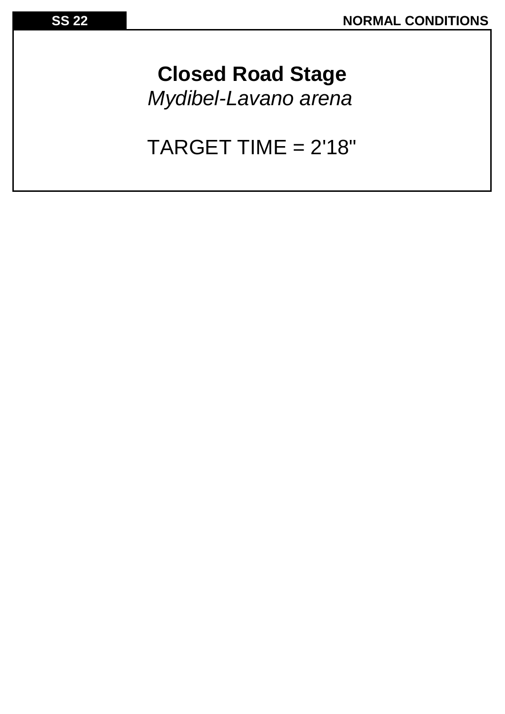**Closed Road Stage** *Mydibel-Lavano arena*

TARGET TIME = 2'18"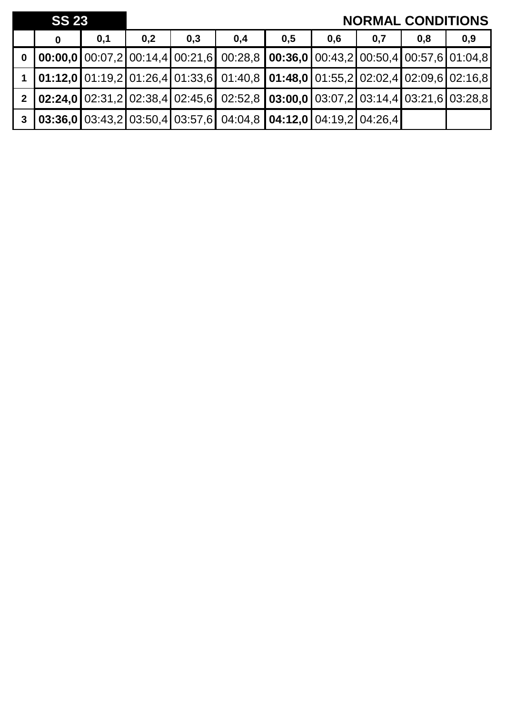|                         | <b>SS 23</b> |     |     |     | <b>NORMAL CONDITIONS</b>                                                                                                                                        |     |     |     |     |     |
|-------------------------|--------------|-----|-----|-----|-----------------------------------------------------------------------------------------------------------------------------------------------------------------|-----|-----|-----|-----|-----|
|                         | 0            | 0,1 | 0,2 | 0,3 | 0,4                                                                                                                                                             | 0,5 | 0,6 | 0,7 | 0,8 | 0,9 |
| $\overline{\mathbf{0}}$ |              |     |     |     | $\vert$ 00:00,0 $\vert$ 00:07,2 $\vert$ 00:14,4 $\vert$ 00:21,6 $\vert$ 00:28,8 $\vert$ 00:36,0 $\vert$ 00:43,2 $\vert$ 00:50,4 $\vert$ 00:57,6 $\vert$ 01:04,8 |     |     |     |     |     |
|                         |              |     |     |     | $\vert$ 01:12,0 $\vert$ 01:19,2 $\vert$ 01:26,4 $\vert$ 01:33,6 $\vert$ 01:40,8 $\vert$ 01:48,0 $\vert$ 01:55,2 $\vert$ 02:02,4 $\vert$ 02:09,6 $\vert$ 02:16,8 |     |     |     |     |     |
|                         |              |     |     |     | 2 <b>02:24,0</b> 02:31,2 02:38,4 02:45,6 02:52,8 <b>03:00,0</b> 03:07,2 03:14,4 03:21,6 03:28,8                                                                 |     |     |     |     |     |
| $\mathbf{3}$            |              |     |     |     | $\vert$ 03:36,0 $\vert$ 03:43,2 $\vert$ 03:50,4 $\vert$ 03:57,6 $\vert$ 04:04,8 $\vert$ 04:12,0 $\vert$ 04:19,2 $\vert$ 04:26,4 $\vert$                         |     |     |     |     |     |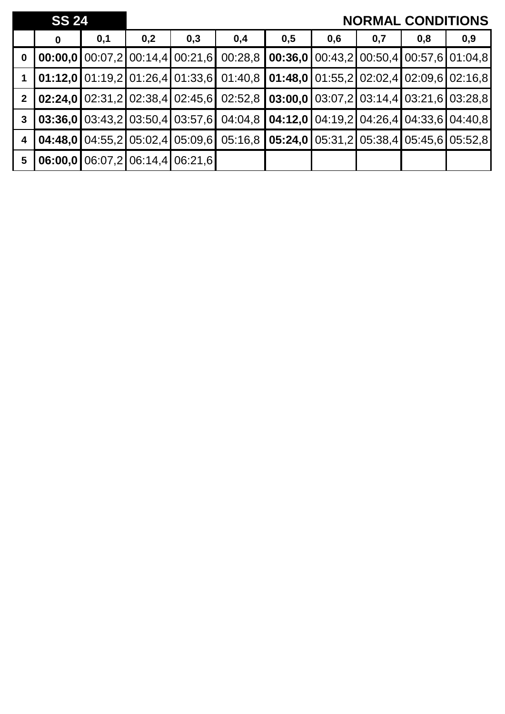|                | <b>SS 24</b> |     |                                                                      |     |                                                                                                                                               |                                                             |     |     | <b>NORMAL CONDITIONS</b>                       |     |
|----------------|--------------|-----|----------------------------------------------------------------------|-----|-----------------------------------------------------------------------------------------------------------------------------------------------|-------------------------------------------------------------|-----|-----|------------------------------------------------|-----|
|                | 0            | 0,1 | 0,2                                                                  | 0,3 | 0,4                                                                                                                                           | 0,5                                                         | 0,6 | 0,7 | 0,8                                            | 0,9 |
| $\mathbf 0$    |              |     | 00:00,0100:07,2100:14,4100:21,6                                      |     | 00:28.8                                                                                                                                       |                                                             |     |     | <b>00:36,0</b> 00:43,2 00:50,4 00:57,6 01:04,8 |     |
|                |              |     |                                                                      |     | $\vert 01:12,0 \vert 01:19,2 \vert 01:26,4 \vert 01:33,6 \vert 01:40,8 \vert 01:48,0 \vert 01:55,2 \vert 02:02,4 \vert 02:09,6 \vert 02:16,8$ |                                                             |     |     |                                                |     |
| $2^{\circ}$    |              |     |                                                                      |     | <b>02:24,0</b> 02:31,2 02:38,4 02:45,6 02:52,8 <b>03:00,0</b> 03:07,2 03:14,4 03:21,6 03:28,8                                                 |                                                             |     |     |                                                |     |
| $\mathbf{3}$   |              |     |                                                                      |     | 03:36,0 03:43,2 03:50,4 03:57,6 04:04,8 04:12,0 04:19,2 04:26,4 04:33,6 04:40,8                                                               |                                                             |     |     |                                                |     |
| 4              |              |     | <b>04:48,0</b> $\boxed{04:55,2}$ $\boxed{05:02,4}$ $\boxed{05:09,6}$ |     |                                                                                                                                               | $05:16,8$   05:24,0   05:31,2   05:38,4   05:45,6   05:52,8 |     |     |                                                |     |
| $5\phantom{1}$ |              |     | 06:00,000:07,206:14,406:21,6                                         |     |                                                                                                                                               |                                                             |     |     |                                                |     |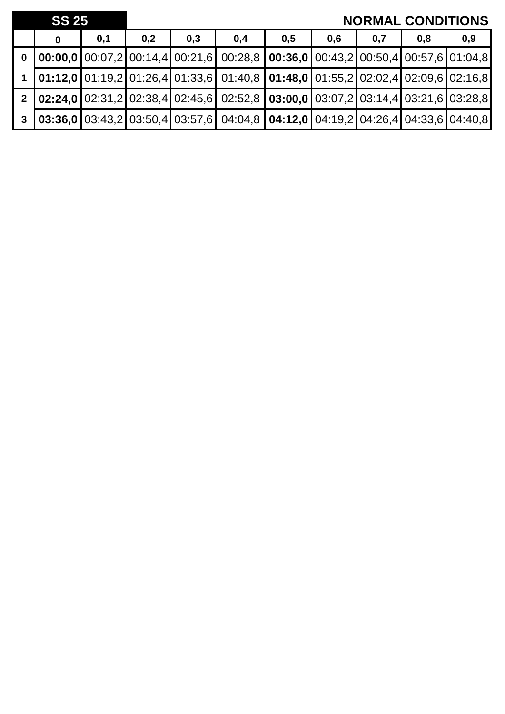| <b>SS 25</b> |   |     |     |     |                                                                                                                                                                   |     |     | <b>NORMAL CONDITIONS</b> |     |     |
|--------------|---|-----|-----|-----|-------------------------------------------------------------------------------------------------------------------------------------------------------------------|-----|-----|--------------------------|-----|-----|
|              | 0 | 0,1 | 0,2 | 0,3 | 0,4                                                                                                                                                               | 0,5 | 0,6 | 0,7                      | 0,8 | 0,9 |
|              |   |     |     |     | 0 $\vert$ 00:00,0 $\vert$ 00:07,2 $\vert$ 00:14,4 $\vert$ 00:21,6 $\vert$ 00:28,8 $\vert$ 00:36,0 $\vert$ 00:43,2 $\vert$ 00:50,4 $\vert$ 00:57,6 $\vert$ 01:04,8 |     |     |                          |     |     |
|              |   |     |     |     | $\vert$ 01:12,0 $\vert$ 01:19,2 $\vert$ 01:26,4 $\vert$ 01:33,6 $\vert$ 01:40,8 $\vert$ 01:48,0 $\vert$ 01:55,2 $\vert$ 02:02,4 $\vert$ 02:09,6 $\vert$ 02:16,8   |     |     |                          |     |     |
|              |   |     |     |     | 2 <b>02:24,0</b> 02:31,2 02:38,4 02:45,6 02:52,8 <b>03:00,0</b> 03:07,2 03:14,4 03:21,6 03:28,8                                                                   |     |     |                          |     |     |
|              |   |     |     |     | $\mid 3 \mid 03:36,0 \mid 03:43,2 \mid 03:50,4 \mid 03:57,6 \mid 04:04,8 \mid 04:12,0 \mid 04:19,2 \mid 04:26,4 \mid 04:33,6 \mid 04:40,8$                        |     |     |                          |     |     |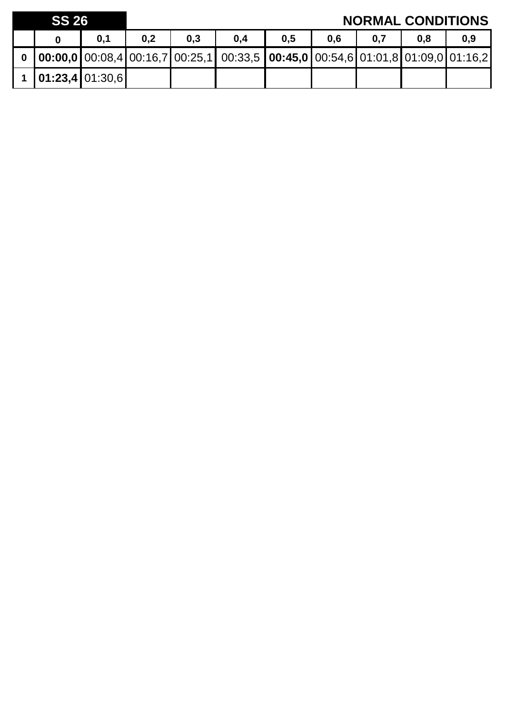| <b>SS 26</b> |                       |     |     |     |                                                                                                       |     |     | <b>NORMAL CONDITIONS</b> |     |     |
|--------------|-----------------------|-----|-----|-----|-------------------------------------------------------------------------------------------------------|-----|-----|--------------------------|-----|-----|
|              |                       | 0,1 | 0,2 | 0.3 | 0,4                                                                                                   | 0,5 | 0.6 | 0,7                      | 0.8 | 0,9 |
|              |                       |     |     |     | 0   00:00,0   00:08,4   00:16,7   00:25,1   00:33,5   00:45,0   00:54,6   01:01,8   01:09,0   01:16,2 |     |     |                          |     |     |
|              | 1   01:23,4   01:30,6 |     |     |     |                                                                                                       |     |     |                          |     |     |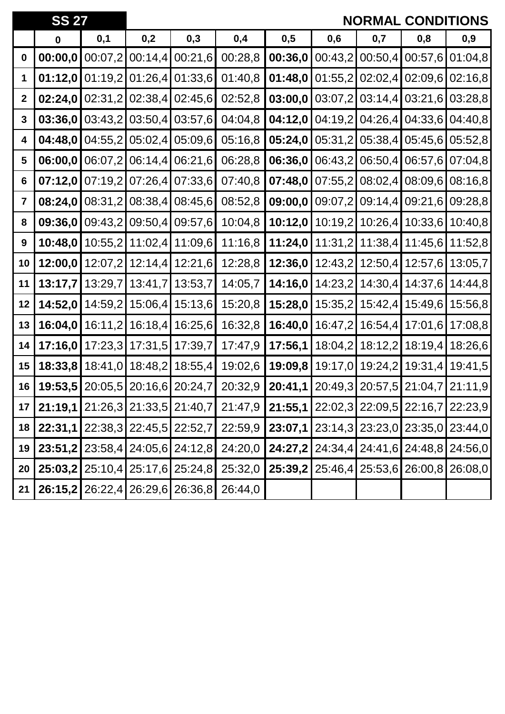|                         | <b>SS 27</b>                    |         |         |                                               |                                                                                 |                                                                            |         | <b>NORMAL</b> |                                                 | <b>CONDITIONS</b> |
|-------------------------|---------------------------------|---------|---------|-----------------------------------------------|---------------------------------------------------------------------------------|----------------------------------------------------------------------------|---------|---------------|-------------------------------------------------|-------------------|
|                         | $\mathbf 0$                     | 0,1     | 0,2     | 0,3                                           | 0,4                                                                             | 0,5                                                                        | 0,6     | 0,7           | 0,8                                             | 0,9               |
| $\bf{0}$                | 00:00,0                         | 00:07,2 | 00:14,4 | 00:21,6                                       | 00:28,8                                                                         | 00:36,0                                                                    | 00:43,2 | 00:50,4       | 00:57,6                                         | 01:04,8           |
| 1                       | 01:12,0                         | 01:19,2 | 01:26,4 | 01:33,6                                       | 01:40,8                                                                         | 01:48,0                                                                    | 01:55,2 | 02:02,4       | 02:09,6                                         | 02:16,8           |
| $\boldsymbol{2}$        | 02:24,0                         | 02:31,2 | 02:38,4 | 02:45,6                                       | 02:52,8                                                                         | 03:00,0                                                                    | 03:07,2 | 03:14,4       | 03:21,6                                         | 03:28,8           |
| 3                       | 03:36,0                         | 03:43,2 | 03:50,4 | 03:57,6                                       | 04:04,8                                                                         | 04:12,0                                                                    | 04:19,2 | 04:26,4       | 04:33,6                                         | 04:40,8           |
| 4                       | 04:48,0                         | 04:55,2 | 05:02,4 | 05:09,6                                       | 05:16,8                                                                         | 05:24,0                                                                    | 05:31,2 | 05:38,4       | 05:45,6                                         | 05:52,8           |
| 5                       | 06:00,0                         | 06:07,2 | 06:14,4 | 06:21,6                                       | 06:28,8                                                                         | 06:36,0                                                                    | 06:43,2 | 06:50,4       | 06:57,6                                         | 07:04,8           |
| 6                       | 07:12,0                         | 07:19,2 | 07:26,4 | 07:33,6                                       | 07:40,8                                                                         | 07:48,0                                                                    | 07:55,2 | 08:02,4       | 08:09,6                                         | 08:16,8           |
| $\overline{\mathbf{7}}$ | 08:24,0                         | 08:31,2 | 08:38,4 | 08:45,6                                       | 08:52,8                                                                         | 09:00,0                                                                    | 09:07,2 | 09:14,4       | 09:21,6                                         | 09:28,8           |
| 8                       | 09:36,0                         | 09:43,2 | 09:50,4 | 09:57,6                                       | 10:04,8                                                                         | 10:12,0                                                                    | 10:19,2 | 10:26,4       | 10:33,6                                         | 10:40,8           |
| $\boldsymbol{9}$        | 10:48,0                         | 10:55,2 | 11:02,4 | 11:09,6                                       | 11:16,8                                                                         | 11:24,0                                                                    | 11:31,2 | 11:38,4       | 11:45,6                                         | 11:52,8           |
| 10                      | 12:00,0                         | 12:07,2 | 12:14,4 | 12:21,6                                       | 12:28,8                                                                         | 12:36,0                                                                    | 12:43,2 | 12:50,4       | 12:57,6                                         | 13:05,7           |
| 11                      | 13:17,7                         | 13:29,7 | 13:41,7 | 13:53,7                                       | 14:05,7                                                                         | 14:16,0                                                                    | 14:23,2 | 14:30,4       | 14:37,6                                         | 14:44,8           |
| 12                      | 14:52,0                         | 14:59,2 | 15:06,4 | 15:13,6                                       | 15:20,8                                                                         | 15:28,0                                                                    | 15:35,2 | 15:42,4       | 15:49,6                                         | 15:56,8           |
| 13                      | 16:04,0                         | 16:11,2 | 16:18,4 | 16:25,6                                       | 16:32,8                                                                         | 16:40,0                                                                    | 16:47,2 | 16:54,4       | 17:01,6                                         | 17:08,8           |
| 14                      | 17:16,0                         | 17:23,3 | 17:31,5 | 17:39,7                                       | 17:47,9                                                                         | 17:56,1                                                                    | 18:04,2 | 18:12,2       | 18:19,4                                         | 18:26,6           |
| 15                      | 18:33,8                         | 18:41,0 | 18:48,2 | 18:55,4                                       | 19:02,6                                                                         | 19:09,8                                                                    | 19:17,0 | 19:24,2       | 19:31,4                                         | 19:41,5           |
| 16                      |                                 |         |         |                                               | 19:53,5 20:05,5 20:16,6 20:24,7 20:32,9 20:41,1 20:49,3 20:57,5 21:04,7 21:11,9 |                                                                            |         |               |                                                 |                   |
| 17 <sup>1</sup>         |                                 |         |         |                                               | 21:19,1 21:26,3 21:33,5 21:40,7 21:47,9 21:55,1 22:02,3 22:09,5 22:16,7 22:23,9 |                                                                            |         |               |                                                 |                   |
| 18                      |                                 |         |         | <b>22:31,1 2</b> 2:38,3 22:45,5 22:52,7       | 22:59,9                                                                         | $\mid$ 23:07,1 $\mid$ 23:14,3 $\mid$ 23:23,0 $\mid$ 23:35,0 $\mid$ 23:44,0 |         |               |                                                 |                   |
| 19                      |                                 |         |         | <b>23:51,2   2</b> 3:58,4   24:05,6   24:12,8 | 24:20,0                                                                         |                                                                            |         |               | 24:27,2 24:34,4 24:41,6 24:48,8 24:56,0         |                   |
| 20                      |                                 |         |         | 25:03,2   25:10,4   25:17,6   25:24,8         | 25:32,0                                                                         |                                                                            |         |               | 25:39,2   25:46,4   25:53,6   26:00,8   26:08,0 |                   |
| 21                      | 26:15,2 26:22,4 26:29,6 26:36,8 |         |         |                                               | 26:44,0                                                                         |                                                                            |         |               |                                                 |                   |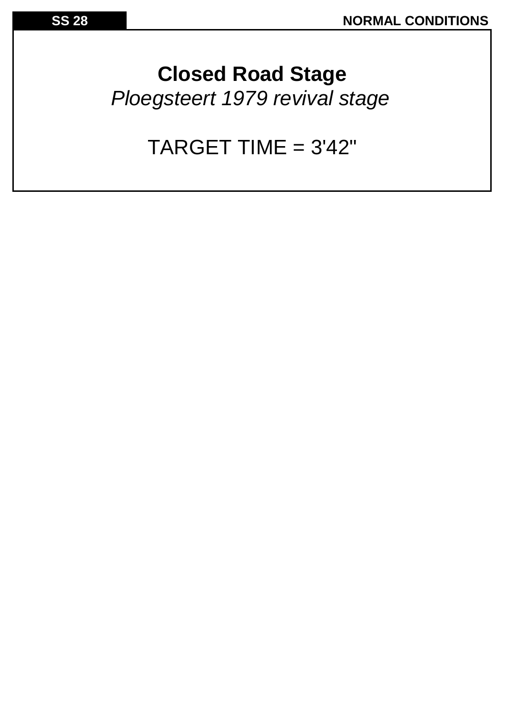**Closed Road Stage** *Ploegsteert 1979 revival stage*

## TARGET TIME = 3'42"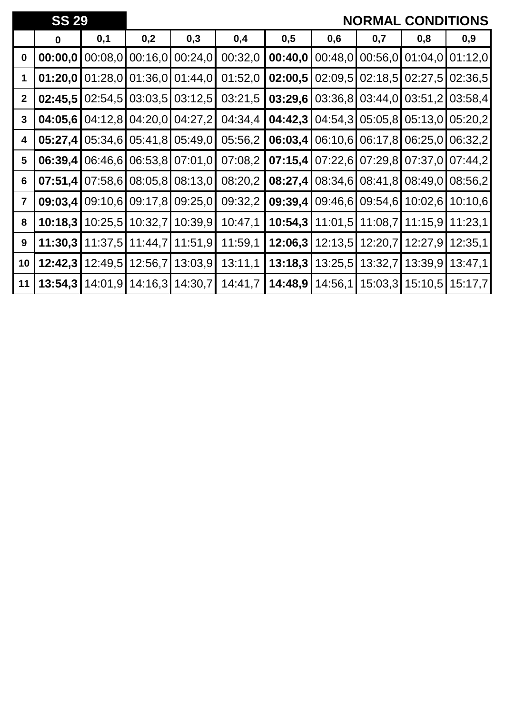|                | <b>SS 29</b> |         |         |         |         |         |         |                 | <b>NORMAL CONDITIONS</b> |         |
|----------------|--------------|---------|---------|---------|---------|---------|---------|-----------------|--------------------------|---------|
|                | $\mathbf 0$  | 0,1     | 0,2     | 0,3     | 0,4     | 0,5     | 0,6     | 0,7             | 0,8                      | 0,9     |
| $\bf{0}$       | 00:00,0      | 00:08,0 | 00:16,0 | 00:24,0 | 00:32,0 | 00:40,0 | 00:48,0 | 00:56,0         | 01:04,0                  | 01:12,0 |
| 1              | 01:20,0      | 01:28,0 | 01:36,0 | 01:44,0 | 01:52,0 | 02:00,5 | 02:09,5 | 02:18,5         | 02:27,5                  | 02:36,5 |
| $\mathbf{2}$   | 02:45,5      | 02:54,5 | 03:03,5 | 03:12,5 | 03:21,5 | 03:29,6 | 03:36,8 | 03:44,0         | 03:51,2                  | 03:58,4 |
| $\mathbf{3}$   | 04:05,6      | 04:12,8 | 04:20,0 | 04:27,2 | 04:34,4 | 04:42,3 | 04:54,3 | 05:05,8         | 05:13,0                  | 05:20,2 |
| 4              | 05:27,4      | 05:34,6 | 05:41,8 | 05:49,0 | 05:56,2 | 06:03,4 | 06:10,6 | 06:17,8         | 06:25.0                  | 06:32,2 |
| $5\phantom{1}$ | 06:39,4      | 06:46,6 | 06:53,8 | 07:01,0 | 07:08,2 | 07:15,4 |         | 07:22,6 07:29,8 | 07:37,0                  | 07:44,2 |
| 6              | 07:51,4      | 07:58,6 | 08:05,8 | 08:13,0 | 08:20,2 | 08:27,4 | 08:34,6 | 08:41,8         | 08:49.0                  | 08:56,2 |
| $\overline{7}$ | 09:03,4      | 09:10,6 | 09:17,8 | 09:25,0 | 09:32,2 | 09:39,4 | 09:46,6 | 09:54,6         | 10:02,6                  | 10:10,6 |
| 8              | 10:18,3      | 10:25.5 | 10:32,7 | 10:39,9 | 10:47,1 | 10:54,3 | 11:01,5 | 11:08,7         | 11:15,9                  | 11:23,1 |
| 9              | 11:30,3      | 11:37,5 | 11:44,7 | 11:51,9 | 11:59,1 | 12:06,3 | 12:13,5 | 12:20,7         | 12:27,9                  | 12:35,1 |
| 10             | 12:42,3      | 12:49,5 | 12:56,7 | 13:03,9 | 13:11,1 | 13:18,3 | 13:25,5 | 13:32,7         | 13:39.9                  | 13:47,1 |
| 11             | 13:54,3      | 14:01,9 | 14:16,3 | 14:30,7 | 14:41,7 | 14:48,9 | 14:56,1 | 15:03,3         | 15:10,5                  | 15:17,7 |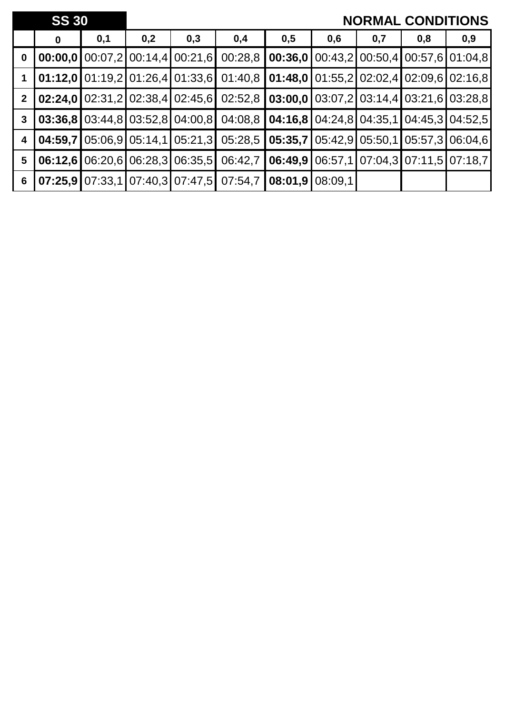|                  | <b>SS 30</b> |     |     |                                                 |                                                                                                                                                                                                                                                                                                                                            |                                                           |     |     | <b>NORMAL CONDITIONS</b>                 |     |
|------------------|--------------|-----|-----|-------------------------------------------------|--------------------------------------------------------------------------------------------------------------------------------------------------------------------------------------------------------------------------------------------------------------------------------------------------------------------------------------------|-----------------------------------------------------------|-----|-----|------------------------------------------|-----|
|                  | $\bf{0}$     | 0,1 | 0,2 | 0,3                                             | 0,4                                                                                                                                                                                                                                                                                                                                        | 0,5                                                       | 0,6 | 0,7 | 0,8                                      | 0,9 |
| $\boldsymbol{0}$ |              |     |     | <b>00:00,0</b> 00:07,2 00:14,4 00:21,6          | 00:28,8                                                                                                                                                                                                                                                                                                                                    |                                                           |     |     | $0.36, 00.43, 200.50, 400.57, 601.04, 8$ |     |
| $\overline{1}$   |              |     |     |                                                 | $\vert$ 01:12,0 $\vert$ 01:19,2 $\vert$ 01:26,4 $\vert$ 01:33,6 $\vert$ 01:40,8 $\vert$ 01:48,0 $\vert$ 01:55,2 $\vert$ 02:02,4 $\vert$ 02:09,6 $\vert$ 02:16,8                                                                                                                                                                            |                                                           |     |     |                                          |     |
| $2^{\circ}$      |              |     |     |                                                 | $\vert 02:24,0 \vert 02:31,2 \vert 02:38,4 \vert 02:45,6 \vert 02:52,8 \vert 03:00,0 \vert 03:07,2 \vert 03:14,4 \vert 03:21,6 \vert 03:28,8 \vert 03:2 \vert 03:2 \vert 03:2 \vert 03:2 \vert 03:2 \vert 03:2 \vert 03:2 \vert 03:2 \vert 03:2 \vert 03:2 \vert 03:2 \vert 03:2 \vert 03:2 \vert 03:2 \vert 03:2 \vert 03:2 \vert 03:2 \$ |                                                           |     |     |                                          |     |
| $\mathbf{3}$     |              |     |     |                                                 | $\mid 03:36.8 \mid 03:44.8 \mid 03:52.8 \mid 04:00.8 \mid 04:08.8 \mid 04:16.8 \mid 04:24.8 \mid 04:35.1 \mid 04:45.3 \mid 04:52.5 \mid 04:52.5 \mid 04:52.5 \mid 04:52.5 \mid 04:52.5 \mid 04:52.5 \mid 04:52.5 \mid 04:52.5 \mid 04:52.5 \mid 04:52.5 \mid 04:52.5 \mid 04:52.5 \mid 04:52.5$                                            |                                                           |     |     |                                          |     |
| 4                | 04:59.7      |     |     |                                                 | $\vert 05.06, 9 \vert 05.14, 1 \vert 05.21, 3 \vert 05.28, 5 \vert 05.35, 7 \vert 05.42, 9 \vert 05.50, 1 \vert 05.57, 3 \vert 06.04, 6 \vert 05.50, 1 \vert 05.57, 3 \vert 06.04, 6 \vert 03.04, 6 \vert 04.04, 6 \vert 05.04, 6 \vert 06.04, 6 \vert 07.04, 6 \vert 08.04, 6 \vert 09.04, 6 \vert 01.04, 6$                              |                                                           |     |     |                                          |     |
| $5\phantom{.0}$  |              |     |     | $[06:12,6]$ $[06:20,6]$ $[06:28,3]$ $[06:35,5]$ |                                                                                                                                                                                                                                                                                                                                            | 06:42,7   06:49,9   06:57,1   07:04,3   07:11,5   07:18,7 |     |     |                                          |     |
| $6\phantom{1}6$  |              |     |     |                                                 | $07:25,9$ 07:33,1 07:40,3 07:47,5 07:54,7                                                                                                                                                                                                                                                                                                  | $\mid$ 08:01,9 $\mid$ 08:09,1                             |     |     |                                          |     |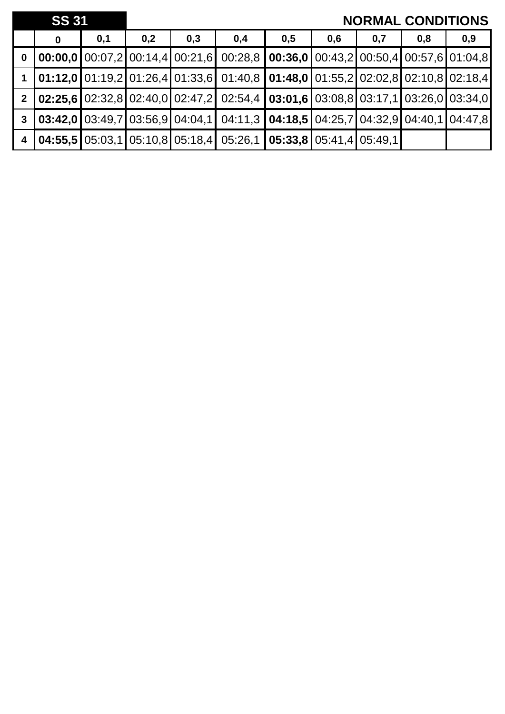|                         | <b>SS 31</b> |     |     |     |                                                                                                                                                                 |     |     | <b>NORMAL CONDITIONS</b> |     |     |
|-------------------------|--------------|-----|-----|-----|-----------------------------------------------------------------------------------------------------------------------------------------------------------------|-----|-----|--------------------------|-----|-----|
|                         | 0            | 0,1 | 0,2 | 0,3 | 0,4                                                                                                                                                             | 0,5 | 0,6 | 0,7                      | 0,8 | 0,9 |
| $\bf{0}$                |              |     |     |     | $\vert 00:00,0 \vert 00:07,2 \vert 00:14,4 \vert 00:21,6 \vert 00:28,8 \vert 00:36,0 \vert 00:43,2 \vert 00:50,4 \vert 00:57,6 \vert 01:04,8$                   |     |     |                          |     |     |
|                         |              |     |     |     | $\vert 01:12,0 \vert 01:19,2 \vert 01:26,4 \vert 01:33,6 \vert 01:40,8 \vert 01:48,0 \vert 01:55,2 \vert 02:02,8 \vert 02:10,8 \vert 02:18,4$                   |     |     |                          |     |     |
| $\overline{2}$          |              |     |     |     | $\vert$ 02:25.6 $\vert$ 02:32,8 $\vert$ 02:40,0 $\vert$ 02:47,2 $\vert$ 02:54,4 $\vert$ 03:01,6 $\vert$ 03:08,8 $\vert$ 03:17,1 $\vert$ 03:26,0 $\vert$ 03:34,0 |     |     |                          |     |     |
| $\overline{\mathbf{3}}$ |              |     |     |     | $\vert$ 03:42,0 $\vert$ 03:49,7 $\vert$ 03:56,9 $\vert$ 04:04,1 $\vert$ 04:11,3 $\vert$ 04:18,5 $\vert$ 04:25,7 $\vert$ 04:32,9 $\vert$ 04:40,1 $\vert$ 04:47,8 |     |     |                          |     |     |
| $\sqrt{4}$              |              |     |     |     | $\vert$ 04:55,5 $\vert$ 05:03,1 $\vert$ 05:10,8 $\vert$ 05:18,4 $\vert$ 05:26,1 $\vert$ 05:33,8 $\vert$ 05:41,4 $\vert$ 05:49,1 $\vert$                         |     |     |                          |     |     |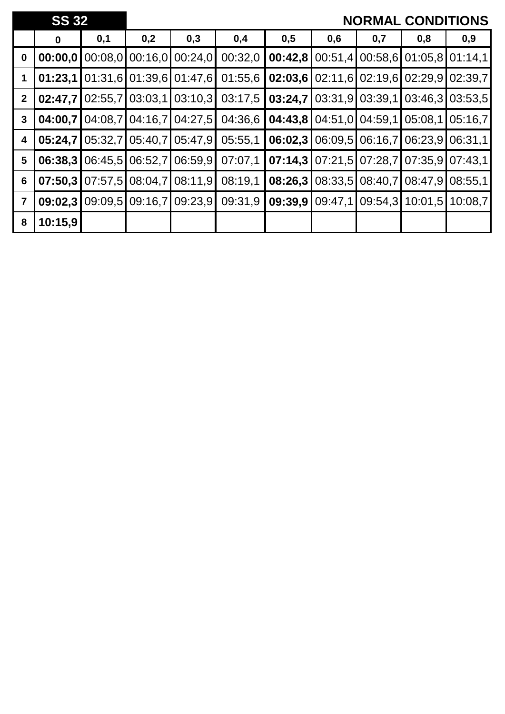|                | <b>SS 32</b> |         |                   |                         |         |         |         |                   | <b>NORMAL CONDITIONS</b>                |         |
|----------------|--------------|---------|-------------------|-------------------------|---------|---------|---------|-------------------|-----------------------------------------|---------|
|                | $\bf{0}$     | 0,1     | 0,2               | 0,3                     | 0,4     | 0,5     | 0,6     | 0,7               | 0,8                                     | 0,9     |
| $\mathbf 0$    | 00:00,0      | 00:08,0 |                   | $00:16,0$ 00:24,0       | 00:32,0 | 00:42,8 |         |                   | 00:51,4 00:58,6 01:05,8 01:14,1         |         |
|                | 01:23,1      |         |                   | 01:31,6 01:39,6 01:47,6 | 01:55,6 | 02:03,6 |         |                   | $02:11,6$ $02:19,6$ $02:29,9$ $02:39,7$ |         |
| $\mathbf{2}$   | 02:47,7      | 02:55,7 | 03:03,1           | 03:10,3                 | 03:17,5 | 03:24,7 |         | $03:31,9$ 03:39,1 | 03:46.3                                 | 03:53.5 |
| 3              | 04:00,7      |         | $04:08,7$ 04:16,7 | 04:27,5                 | 04:36,6 | 04:43,8 |         | 04:51,0 04:59,1   | 05:08,1                                 | 05:16,7 |
| 4              | 05:24,7      | 05:32,7 | 05:40,7           | 05:47,9                 | 05:55,1 | 06:02,3 |         |                   | 06:09,5 06:16,7 06:23,9                 | 06:31,1 |
| $5\phantom{1}$ | 06:38,3      | 06:45,5 | 06:52,7           | 06:59,9                 | 07:07,1 | 07:14,3 |         |                   | 07:21,5 07:28,7 07:35,9 07:43,1         |         |
| 6              | 07:50,3      | 07:57,5 | 08:04,7           | 08:11,9                 | 08:19,1 | 08:26,3 |         | 08:33,5 08:40,7   | 08:47,9                                 | 08:55,1 |
| $\overline{7}$ | 09:02,3      | 09:09.5 | 09:16,7           | 09:23,9                 | 09:31,9 | 09:39,9 | 09:47,1 | 09:54.3           | 10:01,5                                 | 10:08.7 |
| 8              | 10:15,9      |         |                   |                         |         |         |         |                   |                                         |         |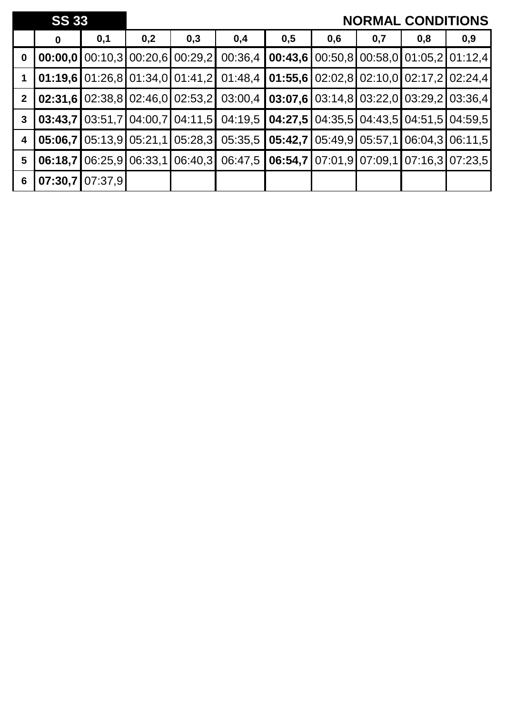|                         | <b>SS 33</b> |                   |     |                                  |                                                                                                                 |                                                             |     |     | <b>NORMAL CONDITIONS</b> |     |
|-------------------------|--------------|-------------------|-----|----------------------------------|-----------------------------------------------------------------------------------------------------------------|-------------------------------------------------------------|-----|-----|--------------------------|-----|
|                         | $\mathbf 0$  | 0,1               | 0,2 | 0,3                              | 0,4                                                                                                             | 0,5                                                         | 0,6 | 0,7 | 0,8                      | 0,9 |
| $\mathbf 0$             |              |                   |     | 00:00.0100:10.3100:20.6100:29.21 |                                                                                                                 | $00:36,4$   00:43,6   00:50,8   00:58,0   01:05,2   01:12,4 |     |     |                          |     |
|                         |              |                   |     |                                  | <b>01:19,6</b> 01:26,8 01:34,0 01:41,2 01:48,4 <b>01:55,6</b> 02:02,8 02:10,0 02:17,2 02:24,4                   |                                                             |     |     |                          |     |
| 2 <sup>1</sup>          |              |                   |     |                                  | 02:31,6 02:38,8 02:46,0 02:53,2 03:00,4 03:07,6 03:14,8 03:22,0 03:29,2 03:36,4                                 |                                                             |     |     |                          |     |
| 3                       |              |                   |     |                                  | <b>03:43,7</b>   03:51,7   04:00,7   04:11,5   04:19,5   <b>04:27,5</b>   04:35,5   04:43,5   04:51,5   04:59,5 |                                                             |     |     |                          |     |
| $\overline{\mathbf{4}}$ | 05:06,71     |                   |     | 05:13.9 05:21,1 05:28,3          |                                                                                                                 | 05:35,5   05:42,7   05:49,9   05:57,1   06:04,3   06:11,5   |     |     |                          |     |
| $5\phantom{.0}$         | 06:18.7      |                   |     | 06:25,9 06:33,1 06:40,3          |                                                                                                                 | 06:47,5   06:54,7   07:01,9   07:09,1   07:16,3   07:23,5   |     |     |                          |     |
| 6                       |              | $07:30,7$ 07:37,9 |     |                                  |                                                                                                                 |                                                             |     |     |                          |     |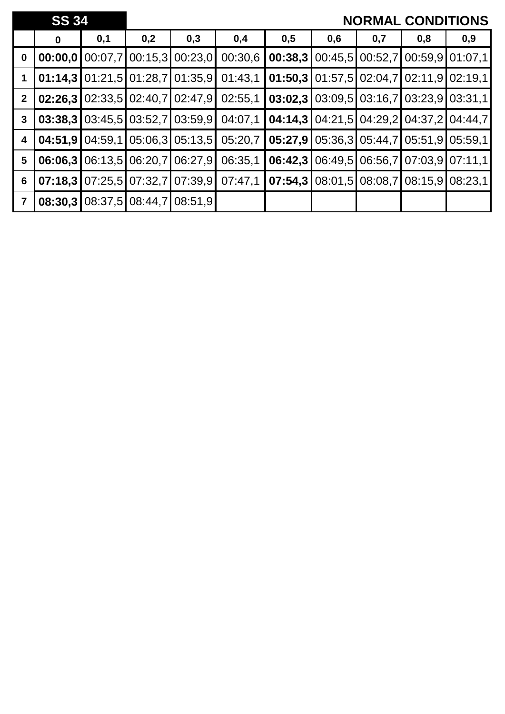|                | <b>SS 34</b> |         |                 |                               |         |         |     |                 | <b>NORMAL CONDITIONS</b>          |                   |
|----------------|--------------|---------|-----------------|-------------------------------|---------|---------|-----|-----------------|-----------------------------------|-------------------|
|                | $\bf{0}$     | 0,1     | 0,2             | 0,3                           | 0,4     | 0,5     | 0,6 | 0,7             | 0,8                               | 0,9               |
| $\mathbf 0$    | 00:00,0      | 00:07,7 |                 | 00:15,3 00:23,0               | 00:30,6 | 00:38,3 |     | 00:45,5 00:52,7 |                                   | 00:59,9 01:07,1   |
|                | 01:14,3      |         |                 | $01:21,5$ 01:28,7 01:35,9     | 01:43,1 | 01:50,3 |     |                 | $01:57,5$ 02:04,7 02:11,9 02:19,1 |                   |
| $\mathbf{2}$   | 02:26.3      |         |                 | $02:33,5$   02:40,7   02:47,9 | 02:55,1 | 03:02,3 |     |                 | 03:09.5 03:16.7 03:23.9 03:31.1   |                   |
| $\mathbf{3}$   | 03:38,3      |         |                 | $03:45.5$ 03:52.7 03:59.9     | 04:07,1 | 04:14,3 |     |                 | 04:21,5 04:29,2 04:37,2 04:44,7   |                   |
| 4              | 04:51,9      | 04:59.1 |                 | $05:06,3$ 05:13,5             | 05:20,7 | 05:27,9 |     | 05:36,3 05:44,7 |                                   | $05:51,9$ 05:59,1 |
| $5\phantom{1}$ | 06:06,3      |         | 06:13,5 06:20,7 | 06:27,9                       | 06:35.1 | 06:42,3 |     |                 | 06:49,5 06:56,7 07:03,9 07:11,1   |                   |
| 6              | 07:18,3      |         |                 | $07:25,5$ 07:32,7 07:39,9     | 07:47,1 | 07:54,3 |     |                 | 08:01,5 08:08,7 08:15,9 08:23,1   |                   |
| $\overline{7}$ | 08:30,3      |         | 08:37,5 08:44,7 | 08:51,9                       |         |         |     |                 |                                   |                   |